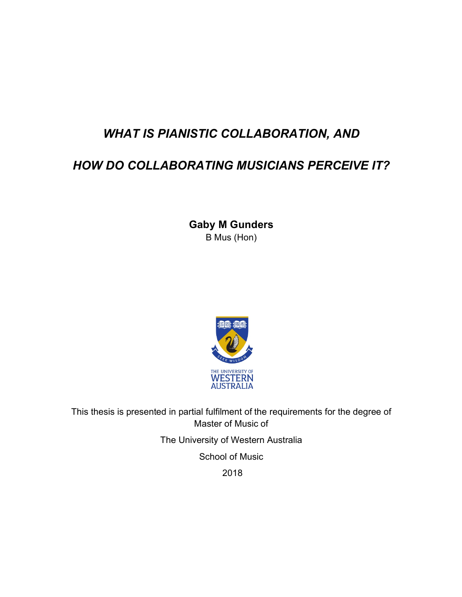# *WHAT IS PIANISTIC COLLABORATION, AND*

# *HOW DO COLLABORATING MUSICIANS PERCEIVE IT?*

**Gaby M Gunders**  B Mus (Hon)



This thesis is presented in partial fulfilment of the requirements for the degree of Master of Music of

The University of Western Australia

School of Music

2018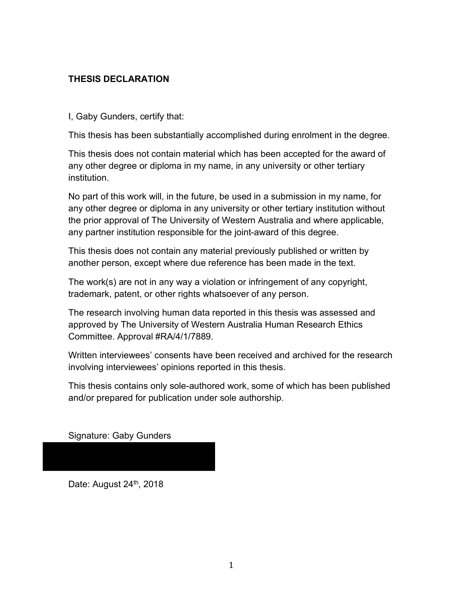# **THESIS DECLARATION**

I, Gaby Gunders, certify that:

This thesis has been substantially accomplished during enrolment in the degree.

This thesis does not contain material which has been accepted for the award of any other degree or diploma in my name, in any university or other tertiary institution.

No part of this work will, in the future, be used in a submission in my name, for any other degree or diploma in any university or other tertiary institution without the prior approval of The University of Western Australia and where applicable, any partner institution responsible for the joint-award of this degree.

This thesis does not contain any material previously published or written by another person, except where due reference has been made in the text.

The work(s) are not in any way a violation or infringement of any copyright, trademark, patent, or other rights whatsoever of any person.

The research involving human data reported in this thesis was assessed and approved by The University of Western Australia Human Research Ethics Committee. Approval #RA/4/1/7889.

Written interviewees' consents have been received and archived for the research involving interviewees' opinions reported in this thesis.

This thesis contains only sole-authored work, some of which has been published and/or prepared for publication under sole authorship.

Signature: Gaby Gunders

Date: August 24<sup>th</sup>, 2018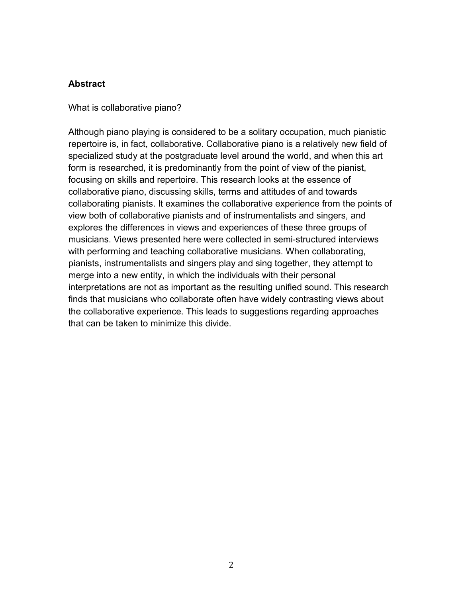#### **Abstract**

What is collaborative piano?

Although piano playing is considered to be a solitary occupation, much pianistic repertoire is, in fact, collaborative. Collaborative piano is a relatively new field of specialized study at the postgraduate level around the world, and when this art form is researched, it is predominantly from the point of view of the pianist, focusing on skills and repertoire. This research looks at the essence of collaborative piano, discussing skills, terms and attitudes of and towards collaborating pianists. It examines the collaborative experience from the points of view both of collaborative pianists and of instrumentalists and singers, and explores the differences in views and experiences of these three groups of musicians. Views presented here were collected in semi-structured interviews with performing and teaching collaborative musicians. When collaborating, pianists, instrumentalists and singers play and sing together, they attempt to merge into a new entity, in which the individuals with their personal interpretations are not as important as the resulting unified sound. This research finds that musicians who collaborate often have widely contrasting views about the collaborative experience. This leads to suggestions regarding approaches that can be taken to minimize this divide.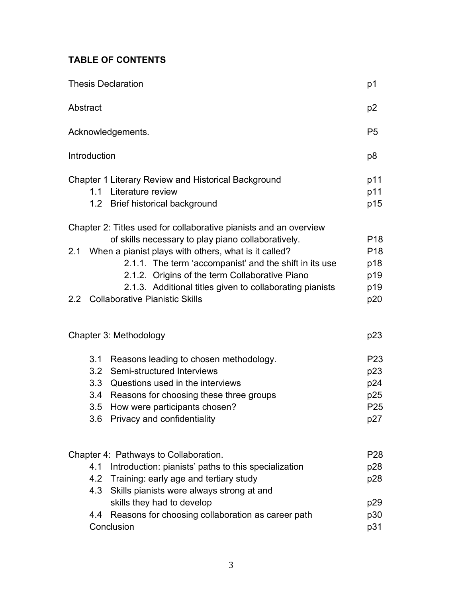# **TABLE OF CONTENTS**

| <b>Thesis Declaration</b> |     |                                                                   |                 |  |
|---------------------------|-----|-------------------------------------------------------------------|-----------------|--|
| Abstract                  |     |                                                                   |                 |  |
| Acknowledgements.         |     |                                                                   |                 |  |
| Introduction              |     |                                                                   |                 |  |
|                           |     | <b>Chapter 1 Literary Review and Historical Background</b>        | p11             |  |
|                           |     | 1.1 Literature review                                             | p11             |  |
|                           |     | 1.2 Brief historical background                                   | p15             |  |
|                           |     | Chapter 2: Titles used for collaborative pianists and an overview |                 |  |
|                           |     | of skills necessary to play piano collaboratively.                | P <sub>18</sub> |  |
| 2.1                       |     | When a pianist plays with others, what is it called?              | P <sub>18</sub> |  |
|                           |     | 2.1.1. The term 'accompanist' and the shift in its use            | p18             |  |
|                           |     | 2.1.2. Origins of the term Collaborative Piano                    | p19             |  |
|                           |     | 2.1.3. Additional titles given to collaborating pianists          | p19             |  |
|                           |     | 2.2 Collaborative Pianistic Skills                                | p20             |  |
|                           |     |                                                                   |                 |  |
| Chapter 3: Methodology    |     |                                                                   | p23             |  |
|                           | 3.1 | Reasons leading to chosen methodology.                            | P <sub>23</sub> |  |
|                           | 3.2 | Semi-structured Interviews                                        | p23             |  |
|                           | 3.3 | Questions used in the interviews                                  | p24             |  |
|                           |     | 3.4 Reasons for choosing these three groups                       | p25             |  |
|                           | 3.5 | How were participants chosen?                                     | P <sub>25</sub> |  |
|                           |     | 3.6 Privacy and confidentiality                                   | p27             |  |
|                           |     |                                                                   |                 |  |
|                           |     | Chapter 4: Pathways to Collaboration.                             | P <sub>28</sub> |  |
|                           | 4.1 | Introduction: pianists' paths to this specialization              | p28             |  |
|                           |     | 4.2 Training: early age and tertiary study                        | p28             |  |
|                           |     | 4.3 Skills pianists were always strong at and                     |                 |  |
|                           |     | skills they had to develop                                        | p29             |  |
|                           | 4.4 | Reasons for choosing collaboration as career path                 | p30             |  |
|                           |     | Conclusion                                                        | p31             |  |
|                           |     |                                                                   |                 |  |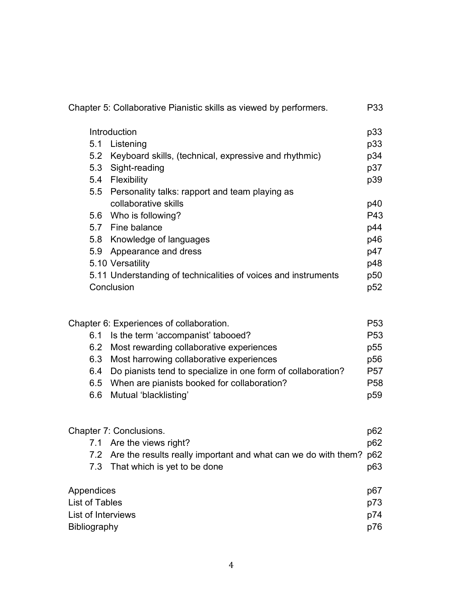|                                                                                                |                                        | Chapter 5: Collaborative Pianistic skills as viewed by performers.                                                                                                                                                                                                                                             | P33                                                                                           |
|------------------------------------------------------------------------------------------------|----------------------------------------|----------------------------------------------------------------------------------------------------------------------------------------------------------------------------------------------------------------------------------------------------------------------------------------------------------------|-----------------------------------------------------------------------------------------------|
|                                                                                                |                                        | Introduction                                                                                                                                                                                                                                                                                                   | p33                                                                                           |
|                                                                                                | 5.1                                    | Listening                                                                                                                                                                                                                                                                                                      | p33                                                                                           |
|                                                                                                | 5.2                                    | Keyboard skills, (technical, expressive and rhythmic)                                                                                                                                                                                                                                                          | p34                                                                                           |
|                                                                                                | 5.3                                    | Sight-reading                                                                                                                                                                                                                                                                                                  | p37                                                                                           |
|                                                                                                | 5.4                                    | Flexibility                                                                                                                                                                                                                                                                                                    | p39                                                                                           |
|                                                                                                | 5.5                                    | Personality talks: rapport and team playing as                                                                                                                                                                                                                                                                 |                                                                                               |
|                                                                                                |                                        | collaborative skills                                                                                                                                                                                                                                                                                           | p40                                                                                           |
|                                                                                                |                                        | 5.6 Who is following?                                                                                                                                                                                                                                                                                          | P43                                                                                           |
|                                                                                                |                                        | 5.7 Fine balance                                                                                                                                                                                                                                                                                               | p44                                                                                           |
|                                                                                                | 5.8                                    | Knowledge of languages                                                                                                                                                                                                                                                                                         | p46                                                                                           |
|                                                                                                | 5.9                                    | Appearance and dress                                                                                                                                                                                                                                                                                           | p47                                                                                           |
|                                                                                                |                                        | 5.10 Versatility                                                                                                                                                                                                                                                                                               | p48                                                                                           |
|                                                                                                |                                        | 5.11 Understanding of technicalities of voices and instruments                                                                                                                                                                                                                                                 | p50                                                                                           |
|                                                                                                |                                        | Conclusion                                                                                                                                                                                                                                                                                                     | p52                                                                                           |
|                                                                                                | 6.1<br>6.2<br>6.3<br>6.4<br>6.5<br>6.6 | Chapter 6: Experiences of collaboration.<br>Is the term 'accompanist' tabooed?<br>Most rewarding collaborative experiences<br>Most harrowing collaborative experiences<br>Do pianists tend to specialize in one form of collaboration?<br>When are pianists booked for collaboration?<br>Mutual 'blacklisting' | P <sub>53</sub><br>P <sub>53</sub><br>p55<br>p56<br>P <sub>57</sub><br>P <sub>58</sub><br>p59 |
|                                                                                                |                                        | Chapter 7: Conclusions.                                                                                                                                                                                                                                                                                        | p62                                                                                           |
|                                                                                                | 7.1                                    | Are the views right?                                                                                                                                                                                                                                                                                           | p62                                                                                           |
|                                                                                                | 7.2                                    | Are the results really important and what can we do with them?                                                                                                                                                                                                                                                 | p62                                                                                           |
|                                                                                                | 7.3                                    | That which is yet to be done                                                                                                                                                                                                                                                                                   | p63                                                                                           |
| Appendices<br>p67<br>List of Tables<br>p73<br>List of Interviews<br>p74<br>Bibliography<br>p76 |                                        |                                                                                                                                                                                                                                                                                                                |                                                                                               |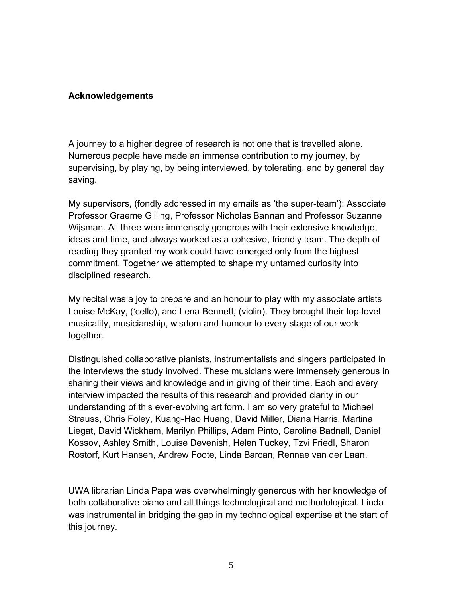#### **Acknowledgements**

A journey to a higher degree of research is not one that is travelled alone. Numerous people have made an immense contribution to my journey, by supervising, by playing, by being interviewed, by tolerating, and by general day saving.

My supervisors, (fondly addressed in my emails as 'the super-team'): Associate Professor Graeme Gilling, Professor Nicholas Bannan and Professor Suzanne Wijsman. All three were immensely generous with their extensive knowledge, ideas and time, and always worked as a cohesive, friendly team. The depth of reading they granted my work could have emerged only from the highest commitment. Together we attempted to shape my untamed curiosity into disciplined research.

My recital was a joy to prepare and an honour to play with my associate artists Louise McKay, ('cello), and Lena Bennett, (violin). They brought their top-level musicality, musicianship, wisdom and humour to every stage of our work together.

Distinguished collaborative pianists, instrumentalists and singers participated in the interviews the study involved. These musicians were immensely generous in sharing their views and knowledge and in giving of their time. Each and every interview impacted the results of this research and provided clarity in our understanding of this ever-evolving art form. I am so very grateful to Michael Strauss, Chris Foley, Kuang-Hao Huang, David Miller, Diana Harris, Martina Liegat, David Wickham, Marilyn Phillips, Adam Pinto, Caroline Badnall, Daniel Kossov, Ashley Smith, Louise Devenish, Helen Tuckey, Tzvi Friedl, Sharon Rostorf, Kurt Hansen, Andrew Foote, Linda Barcan, Rennae van der Laan.

UWA librarian Linda Papa was overwhelmingly generous with her knowledge of both collaborative piano and all things technological and methodological. Linda was instrumental in bridging the gap in my technological expertise at the start of this journey.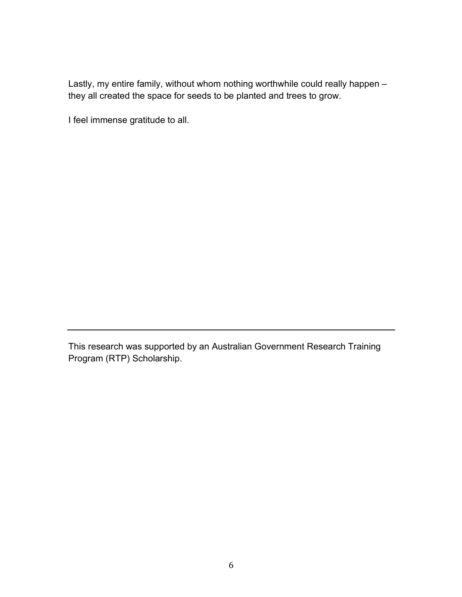Lastly, my entire family, without whom nothing worthwhile could really happen – they all created the space for seeds to be planted and trees to grow.

I feel immense gratitude to all.

This research was supported by an Australian Government Research Training Program (RTP) Scholarship.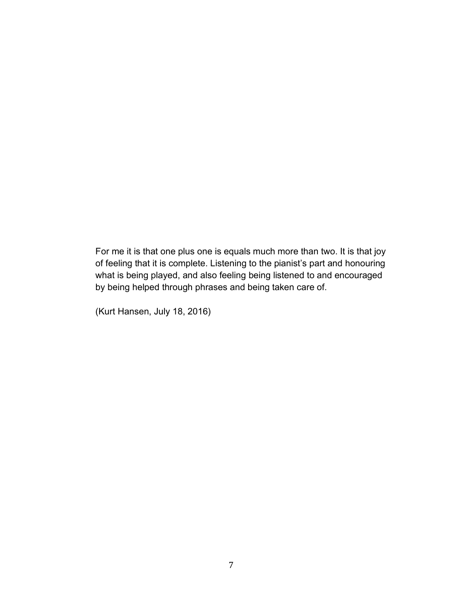For me it is that one plus one is equals much more than two. It is that joy of feeling that it is complete. Listening to the pianist's part and honouring what is being played, and also feeling being listened to and encouraged by being helped through phrases and being taken care of.

(Kurt Hansen, July 18, 2016)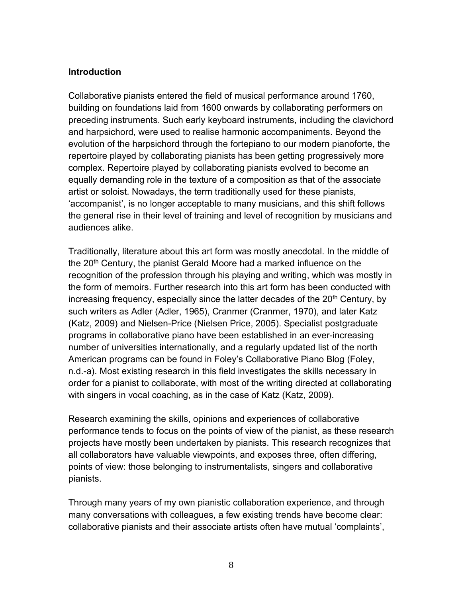#### **Introduction**

Collaborative pianists entered the field of musical performance around 1760, building on foundations laid from 1600 onwards by collaborating performers on preceding instruments. Such early keyboard instruments, including the clavichord and harpsichord, were used to realise harmonic accompaniments. Beyond the evolution of the harpsichord through the fortepiano to our modern pianoforte, the repertoire played by collaborating pianists has been getting progressively more complex. Repertoire played by collaborating pianists evolved to become an equally demanding role in the texture of a composition as that of the associate artist or soloist. Nowadays, the term traditionally used for these pianists, 'accompanist', is no longer acceptable to many musicians, and this shift follows the general rise in their level of training and level of recognition by musicians and audiences alike.

Traditionally, literature about this art form was mostly anecdotal. In the middle of the 20<sup>th</sup> Century, the pianist Gerald Moore had a marked influence on the recognition of the profession through his playing and writing, which was mostly in the form of memoirs. Further research into this art form has been conducted with increasing frequency, especially since the latter decades of the  $20<sup>th</sup>$  Century, by such writers as Adler (Adler, 1965), Cranmer (Cranmer, 1970), and later Katz (Katz, 2009) and Nielsen-Price (Nielsen Price, 2005). Specialist postgraduate programs in collaborative piano have been established in an ever-increasing number of universities internationally, and a regularly updated list of the north American programs can be found in Foley's Collaborative Piano Blog (Foley, n.d.-a). Most existing research in this field investigates the skills necessary in order for a pianist to collaborate, with most of the writing directed at collaborating with singers in vocal coaching, as in the case of Katz (Katz, 2009).

Research examining the skills, opinions and experiences of collaborative performance tends to focus on the points of view of the pianist, as these research projects have mostly been undertaken by pianists. This research recognizes that all collaborators have valuable viewpoints, and exposes three, often differing, points of view: those belonging to instrumentalists, singers and collaborative pianists.

Through many years of my own pianistic collaboration experience, and through many conversations with colleagues, a few existing trends have become clear: collaborative pianists and their associate artists often have mutual 'complaints',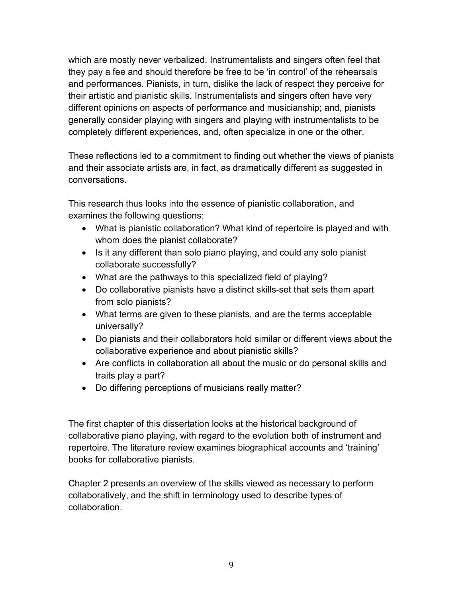which are mostly never verbalized. Instrumentalists and singers often feel that they pay a fee and should therefore be free to be 'in control' of the rehearsals and performances. Pianists, in turn, dislike the lack of respect they perceive for their artistic and pianistic skills. Instrumentalists and singers often have very different opinions on aspects of performance and musicianship; and, pianists generally consider playing with singers and playing with instrumentalists to be completely different experiences, and, often specialize in one or the other.

These reflections led to a commitment to finding out whether the views of pianists and their associate artists are, in fact, as dramatically different as suggested in conversations.

This research thus looks into the essence of pianistic collaboration, and examines the following questions:

- What is pianistic collaboration? What kind of repertoire is played and with whom does the pianist collaborate?
- Is it any different than solo piano playing, and could any solo pianist collaborate successfully?
- What are the pathways to this specialized field of playing?
- Do collaborative pianists have a distinct skills-set that sets them apart from solo pianists?
- What terms are given to these pianists, and are the terms acceptable universally?
- Do pianists and their collaborators hold similar or different views about the collaborative experience and about pianistic skills?
- Are conflicts in collaboration all about the music or do personal skills and traits play a part?
- Do differing perceptions of musicians really matter?

The first chapter of this dissertation looks at the historical background of collaborative piano playing, with regard to the evolution both of instrument and repertoire. The literature review examines biographical accounts and 'training' books for collaborative pianists.

Chapter 2 presents an overview of the skills viewed as necessary to perform collaboratively, and the shift in terminology used to describe types of collaboration.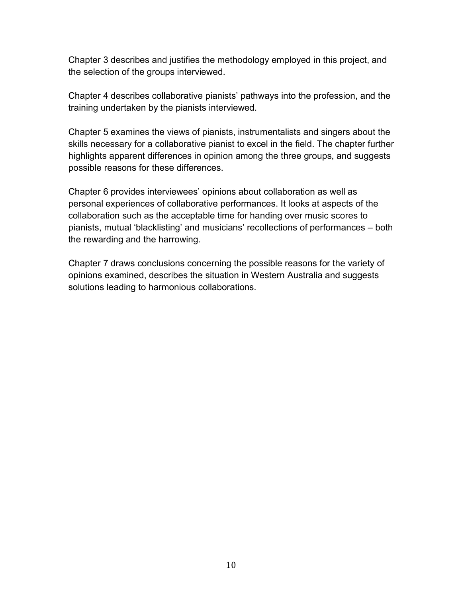Chapter 3 describes and justifies the methodology employed in this project, and the selection of the groups interviewed.

Chapter 4 describes collaborative pianists' pathways into the profession, and the training undertaken by the pianists interviewed.

Chapter 5 examines the views of pianists, instrumentalists and singers about the skills necessary for a collaborative pianist to excel in the field. The chapter further highlights apparent differences in opinion among the three groups, and suggests possible reasons for these differences.

Chapter 6 provides interviewees' opinions about collaboration as well as personal experiences of collaborative performances. It looks at aspects of the collaboration such as the acceptable time for handing over music scores to pianists, mutual 'blacklisting' and musicians' recollections of performances – both the rewarding and the harrowing.

Chapter 7 draws conclusions concerning the possible reasons for the variety of opinions examined, describes the situation in Western Australia and suggests solutions leading to harmonious collaborations.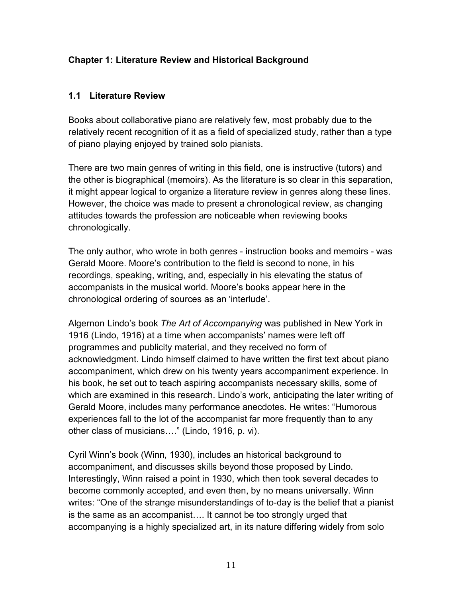## **Chapter 1: Literature Review and Historical Background**

#### **1.1 Literature Review**

Books about collaborative piano are relatively few, most probably due to the relatively recent recognition of it as a field of specialized study, rather than a type of piano playing enjoyed by trained solo pianists.

There are two main genres of writing in this field, one is instructive (tutors) and the other is biographical (memoirs). As the literature is so clear in this separation, it might appear logical to organize a literature review in genres along these lines. However, the choice was made to present a chronological review, as changing attitudes towards the profession are noticeable when reviewing books chronologically.

The only author, who wrote in both genres - instruction books and memoirs - was Gerald Moore. Moore's contribution to the field is second to none, in his recordings, speaking, writing, and, especially in his elevating the status of accompanists in the musical world. Moore's books appear here in the chronological ordering of sources as an 'interlude'.

Algernon Lindo's book *The Art of Accompanying* was published in New York in 1916 (Lindo, 1916) at a time when accompanists' names were left off programmes and publicity material, and they received no form of acknowledgment. Lindo himself claimed to have written the first text about piano accompaniment, which drew on his twenty years accompaniment experience. In his book, he set out to teach aspiring accompanists necessary skills, some of which are examined in this research. Lindo's work, anticipating the later writing of Gerald Moore, includes many performance anecdotes. He writes: "Humorous experiences fall to the lot of the accompanist far more frequently than to any other class of musicians…." (Lindo, 1916, p. vi).

Cyril Winn's book (Winn, 1930), includes an historical background to accompaniment, and discusses skills beyond those proposed by Lindo. Interestingly, Winn raised a point in 1930, which then took several decades to become commonly accepted, and even then, by no means universally. Winn writes: "One of the strange misunderstandings of to-day is the belief that a pianist is the same as an accompanist…. It cannot be too strongly urged that accompanying is a highly specialized art, in its nature differing widely from solo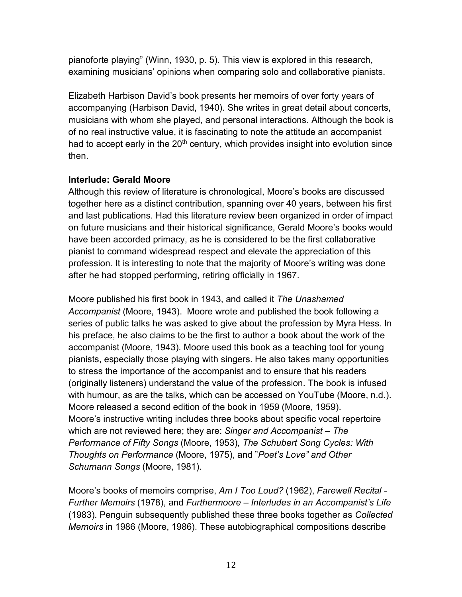pianoforte playing" (Winn, 1930, p. 5). This view is explored in this research, examining musicians' opinions when comparing solo and collaborative pianists.

Elizabeth Harbison David's book presents her memoirs of over forty years of accompanying (Harbison David, 1940). She writes in great detail about concerts, musicians with whom she played, and personal interactions. Although the book is of no real instructive value, it is fascinating to note the attitude an accompanist had to accept early in the  $20<sup>th</sup>$  century, which provides insight into evolution since then.

#### **Interlude: Gerald Moore**

Although this review of literature is chronological, Moore's books are discussed together here as a distinct contribution, spanning over 40 years, between his first and last publications. Had this literature review been organized in order of impact on future musicians and their historical significance, Gerald Moore's books would have been accorded primacy, as he is considered to be the first collaborative pianist to command widespread respect and elevate the appreciation of this profession. It is interesting to note that the majority of Moore's writing was done after he had stopped performing, retiring officially in 1967.

Moore published his first book in 1943, and called it *The Unashamed Accompanist* (Moore, 1943). Moore wrote and published the book following a series of public talks he was asked to give about the profession by Myra Hess. In his preface, he also claims to be the first to author a book about the work of the accompanist (Moore, 1943). Moore used this book as a teaching tool for young pianists, especially those playing with singers. He also takes many opportunities to stress the importance of the accompanist and to ensure that his readers (originally listeners) understand the value of the profession. The book is infused with humour, as are the talks, which can be accessed on YouTube (Moore, n.d.). Moore released a second edition of the book in 1959 (Moore, 1959). Moore's instructive writing includes three books about specific vocal repertoire which are not reviewed here; they are: *Singer and Accompanist – The Performance of Fifty Songs* (Moore, 1953), *The Schubert Song Cycles: With Thoughts on Performance* (Moore, 1975), and "*Poet's Love" and Other Schumann Songs* (Moore, 1981).

Moore's books of memoirs comprise, *Am I Too Loud?* (1962), *Farewell Recital - Further Memoirs* (1978), and *Furthermoore – Interludes in an Accompanist's Life* (1983). Penguin subsequently published these three books together as *Collected Memoirs* in 1986 (Moore, 1986). These autobiographical compositions describe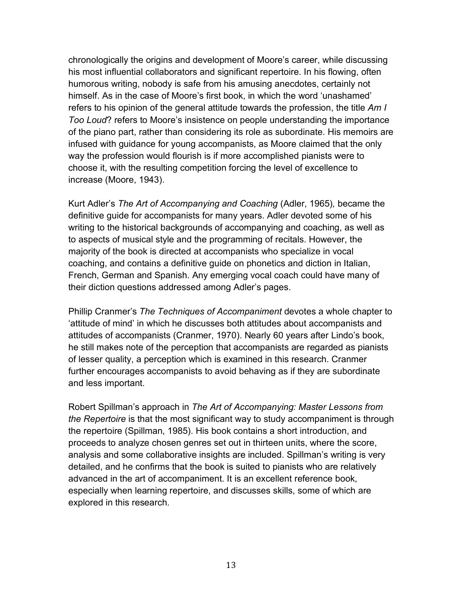chronologically the origins and development of Moore's career, while discussing his most influential collaborators and significant repertoire. In his flowing, often humorous writing, nobody is safe from his amusing anecdotes, certainly not himself. As in the case of Moore's first book, in which the word 'unashamed' refers to his opinion of the general attitude towards the profession, the title *Am I Too Loud*? refers to Moore's insistence on people understanding the importance of the piano part, rather than considering its role as subordinate. His memoirs are infused with guidance for young accompanists, as Moore claimed that the only way the profession would flourish is if more accomplished pianists were to choose it, with the resulting competition forcing the level of excellence to increase (Moore, 1943).

Kurt Adler's *The Art of Accompanying and Coaching* (Adler, 1965)*,* became the definitive guide for accompanists for many years. Adler devoted some of his writing to the historical backgrounds of accompanying and coaching, as well as to aspects of musical style and the programming of recitals. However, the majority of the book is directed at accompanists who specialize in vocal coaching, and contains a definitive guide on phonetics and diction in Italian, French, German and Spanish. Any emerging vocal coach could have many of their diction questions addressed among Adler's pages.

Phillip Cranmer's *The Techniques of Accompaniment* devotes a whole chapter to 'attitude of mind' in which he discusses both attitudes about accompanists and attitudes of accompanists (Cranmer, 1970). Nearly 60 years after Lindo's book, he still makes note of the perception that accompanists are regarded as pianists of lesser quality, a perception which is examined in this research. Cranmer further encourages accompanists to avoid behaving as if they are subordinate and less important.

Robert Spillman's approach in *The Art of Accompanying: Master Lessons from the Repertoire* is that the most significant way to study accompaniment is through the repertoire (Spillman, 1985). His book contains a short introduction, and proceeds to analyze chosen genres set out in thirteen units, where the score, analysis and some collaborative insights are included. Spillman's writing is very detailed, and he confirms that the book is suited to pianists who are relatively advanced in the art of accompaniment. It is an excellent reference book, especially when learning repertoire, and discusses skills, some of which are explored in this research.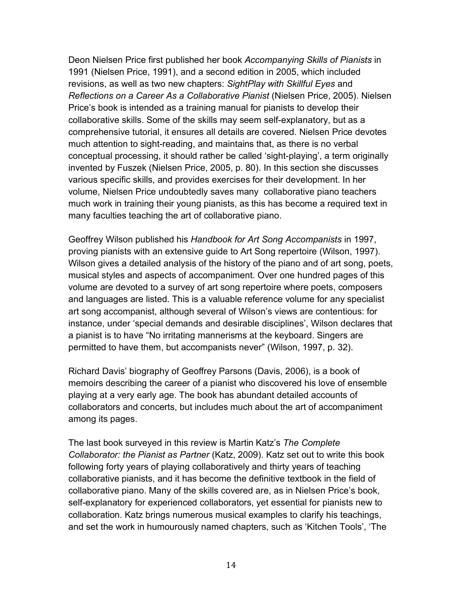Deon Nielsen Price first published her book *Accompanying Skills of Pianists* in 1991 (Nielsen Price, 1991), and a second edition in 2005, which included revisions, as well as two new chapters: *SightPlay with Skillful Eyes* and *Reflections on a Career As a Collaborative Pianist* (Nielsen Price, 2005). Nielsen Price's book is intended as a training manual for pianists to develop their collaborative skills. Some of the skills may seem self-explanatory, but as a comprehensive tutorial, it ensures all details are covered. Nielsen Price devotes much attention to sight-reading, and maintains that, as there is no verbal conceptual processing, it should rather be called 'sight-playing', a term originally invented by Fuszek (Nielsen Price, 2005, p. 80). In this section she discusses various specific skills, and provides exercises for their development. In her volume, Nielsen Price undoubtedly saves many collaborative piano teachers much work in training their young pianists, as this has become a required text in many faculties teaching the art of collaborative piano.

Geoffrey Wilson published his *Handbook for Art Song Accompanists* in 1997, proving pianists with an extensive guide to Art Song repertoire (Wilson, 1997). Wilson gives a detailed analysis of the history of the piano and of art song, poets, musical styles and aspects of accompaniment. Over one hundred pages of this volume are devoted to a survey of art song repertoire where poets, composers and languages are listed. This is a valuable reference volume for any specialist art song accompanist, although several of Wilson's views are contentious: for instance, under 'special demands and desirable disciplines', Wilson declares that a pianist is to have "No irritating mannerisms at the keyboard. Singers are permitted to have them, but accompanists never" (Wilson, 1997, p. 32).

Richard Davis' biography of Geoffrey Parsons (Davis, 2006), is a book of memoirs describing the career of a pianist who discovered his love of ensemble playing at a very early age. The book has abundant detailed accounts of collaborators and concerts, but includes much about the art of accompaniment among its pages.

The last book surveyed in this review is Martin Katz's *The Complete Collaborator: the Pianist as Partner* (Katz, 2009). Katz set out to write this book following forty years of playing collaboratively and thirty years of teaching collaborative pianists, and it has become the definitive textbook in the field of collaborative piano. Many of the skills covered are, as in Nielsen Price's book, self-explanatory for experienced collaborators, yet essential for pianists new to collaboration. Katz brings numerous musical examples to clarify his teachings, and set the work in humourously named chapters, such as 'Kitchen Tools', 'The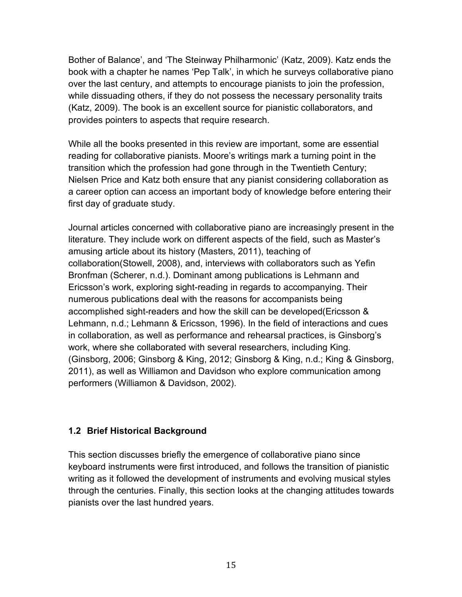Bother of Balance', and 'The Steinway Philharmonic' (Katz, 2009). Katz ends the book with a chapter he names 'Pep Talk', in which he surveys collaborative piano over the last century, and attempts to encourage pianists to join the profession, while dissuading others, if they do not possess the necessary personality traits (Katz, 2009). The book is an excellent source for pianistic collaborators, and provides pointers to aspects that require research.

While all the books presented in this review are important, some are essential reading for collaborative pianists. Moore's writings mark a turning point in the transition which the profession had gone through in the Twentieth Century; Nielsen Price and Katz both ensure that any pianist considering collaboration as a career option can access an important body of knowledge before entering their first day of graduate study.

Journal articles concerned with collaborative piano are increasingly present in the literature. They include work on different aspects of the field, such as Master's amusing article about its history (Masters, 2011), teaching of collaboration(Stowell, 2008), and, interviews with collaborators such as Yefin Bronfman (Scherer, n.d.). Dominant among publications is Lehmann and Ericsson's work, exploring sight-reading in regards to accompanying. Their numerous publications deal with the reasons for accompanists being accomplished sight-readers and how the skill can be developed(Ericsson & Lehmann, n.d.; Lehmann & Ericsson, 1996). In the field of interactions and cues in collaboration, as well as performance and rehearsal practices, is Ginsborg's work, where she collaborated with several researchers, including King. (Ginsborg, 2006; Ginsborg & King, 2012; Ginsborg & King, n.d.; King & Ginsborg, 2011), as well as Williamon and Davidson who explore communication among performers (Williamon & Davidson, 2002).

#### **1.2 Brief Historical Background**

This section discusses briefly the emergence of collaborative piano since keyboard instruments were first introduced, and follows the transition of pianistic writing as it followed the development of instruments and evolving musical styles through the centuries. Finally, this section looks at the changing attitudes towards pianists over the last hundred years.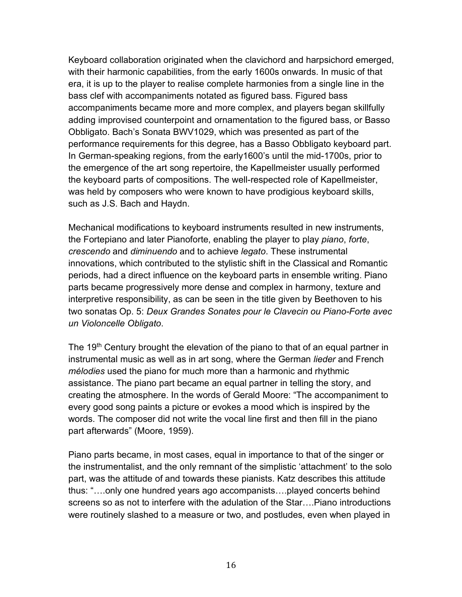Keyboard collaboration originated when the clavichord and harpsichord emerged, with their harmonic capabilities, from the early 1600s onwards. In music of that era, it is up to the player to realise complete harmonies from a single line in the bass clef with accompaniments notated as figured bass. Figured bass accompaniments became more and more complex, and players began skillfully adding improvised counterpoint and ornamentation to the figured bass, or Basso Obbligato. Bach's Sonata BWV1029, which was presented as part of the performance requirements for this degree, has a Basso Obbligato keyboard part. In German-speaking regions, from the early1600's until the mid-1700s, prior to the emergence of the art song repertoire, the Kapellmeister usually performed the keyboard parts of compositions. The well-respected role of Kapellmeister, was held by composers who were known to have prodigious keyboard skills, such as J.S. Bach and Haydn.

Mechanical modifications to keyboard instruments resulted in new instruments, the Fortepiano and later Pianoforte, enabling the player to play *piano*, *forte*, *crescendo* and *diminuendo* and to achieve *legato*. These instrumental innovations, which contributed to the stylistic shift in the Classical and Romantic periods, had a direct influence on the keyboard parts in ensemble writing. Piano parts became progressively more dense and complex in harmony, texture and interpretive responsibility, as can be seen in the title given by Beethoven to his two sonatas Op. 5: *Deux Grandes Sonates pour le Clavecin ou Piano-Forte avec un Violoncelle Obligato*.

The 19<sup>th</sup> Century brought the elevation of the piano to that of an equal partner in instrumental music as well as in art song, where the German *lieder* and French *mélodies* used the piano for much more than a harmonic and rhythmic assistance. The piano part became an equal partner in telling the story, and creating the atmosphere. In the words of Gerald Moore: "The accompaniment to every good song paints a picture or evokes a mood which is inspired by the words. The composer did not write the vocal line first and then fill in the piano part afterwards" (Moore, 1959).

Piano parts became, in most cases, equal in importance to that of the singer or the instrumentalist, and the only remnant of the simplistic 'attachment' to the solo part, was the attitude of and towards these pianists. Katz describes this attitude thus: "….only one hundred years ago accompanists….played concerts behind screens so as not to interfere with the adulation of the Star….Piano introductions were routinely slashed to a measure or two, and postludes, even when played in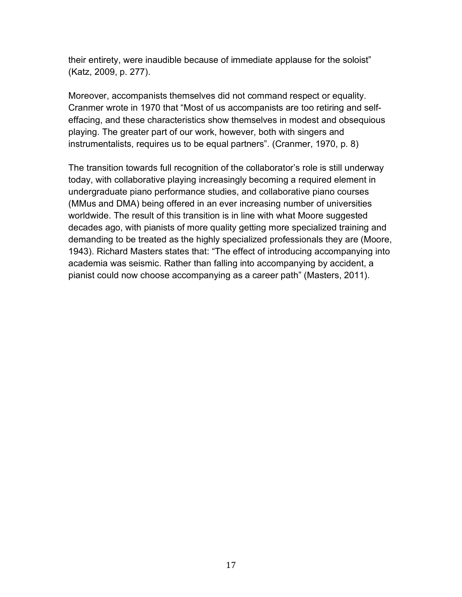their entirety, were inaudible because of immediate applause for the soloist" (Katz, 2009, p. 277).

Moreover, accompanists themselves did not command respect or equality. Cranmer wrote in 1970 that "Most of us accompanists are too retiring and selfeffacing, and these characteristics show themselves in modest and obsequious playing. The greater part of our work, however, both with singers and instrumentalists, requires us to be equal partners". (Cranmer, 1970, p. 8)

The transition towards full recognition of the collaborator's role is still underway today, with collaborative playing increasingly becoming a required element in undergraduate piano performance studies, and collaborative piano courses (MMus and DMA) being offered in an ever increasing number of universities worldwide. The result of this transition is in line with what Moore suggested decades ago, with pianists of more quality getting more specialized training and demanding to be treated as the highly specialized professionals they are (Moore, 1943). Richard Masters states that: "The effect of introducing accompanying into academia was seismic. Rather than falling into accompanying by accident, a pianist could now choose accompanying as a career path" (Masters, 2011).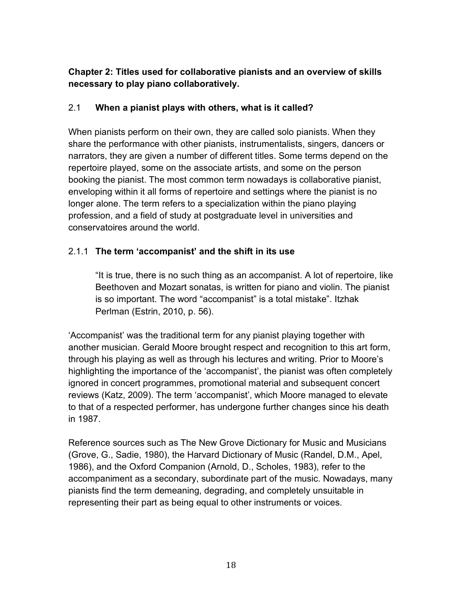# **Chapter 2: Titles used for collaborative pianists and an overview of skills necessary to play piano collaboratively.**

## 2.1 **When a pianist plays with others, what is it called?**

When pianists perform on their own, they are called solo pianists. When they share the performance with other pianists, instrumentalists, singers, dancers or narrators, they are given a number of different titles. Some terms depend on the repertoire played, some on the associate artists, and some on the person booking the pianist. The most common term nowadays is collaborative pianist, enveloping within it all forms of repertoire and settings where the pianist is no longer alone. The term refers to a specialization within the piano playing profession, and a field of study at postgraduate level in universities and conservatoires around the world.

# 2.1.1 **The term 'accompanist' and the shift in its use**

"It is true, there is no such thing as an accompanist. A lot of repertoire, like Beethoven and Mozart sonatas, is written for piano and violin. The pianist is so important. The word "accompanist" is a total mistake". Itzhak Perlman (Estrin, 2010, p. 56).

'Accompanist' was the traditional term for any pianist playing together with another musician. Gerald Moore brought respect and recognition to this art form, through his playing as well as through his lectures and writing. Prior to Moore's highlighting the importance of the 'accompanist', the pianist was often completely ignored in concert programmes, promotional material and subsequent concert reviews (Katz, 2009). The term 'accompanist', which Moore managed to elevate to that of a respected performer, has undergone further changes since his death in 1987.

Reference sources such as The New Grove Dictionary for Music and Musicians (Grove, G., Sadie, 1980), the Harvard Dictionary of Music (Randel, D.M., Apel, 1986), and the Oxford Companion (Arnold, D., Scholes, 1983), refer to the accompaniment as a secondary, subordinate part of the music. Nowadays, many pianists find the term demeaning, degrading, and completely unsuitable in representing their part as being equal to other instruments or voices.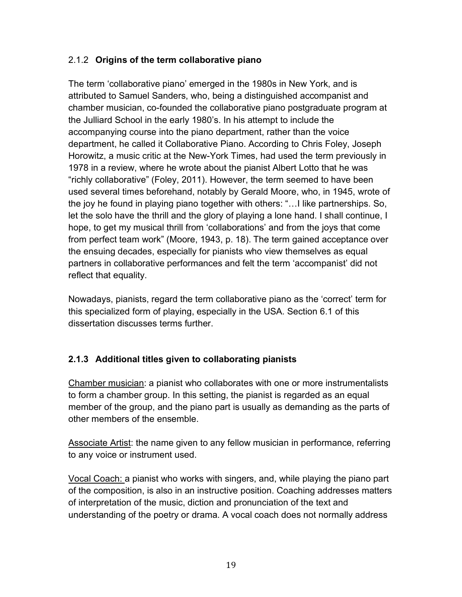# 2.1.2 **Origins of the term collaborative piano**

The term 'collaborative piano' emerged in the 1980s in New York, and is attributed to Samuel Sanders, who, being a distinguished accompanist and chamber musician, co-founded the collaborative piano postgraduate program at the Julliard School in the early 1980's. In his attempt to include the accompanying course into the piano department, rather than the voice department, he called it Collaborative Piano. According to Chris Foley, Joseph Horowitz, a music critic at the New-York Times, had used the term previously in 1978 in a review, where he wrote about the pianist Albert Lotto that he was "richly collaborative" (Foley, 2011). However, the term seemed to have been used several times beforehand, notably by Gerald Moore, who, in 1945, wrote of the joy he found in playing piano together with others: "…I like partnerships. So, let the solo have the thrill and the glory of playing a lone hand. I shall continue, I hope, to get my musical thrill from 'collaborations' and from the joys that come from perfect team work" (Moore, 1943, p. 18). The term gained acceptance over the ensuing decades, especially for pianists who view themselves as equal partners in collaborative performances and felt the term 'accompanist' did not reflect that equality.

Nowadays, pianists, regard the term collaborative piano as the 'correct' term for this specialized form of playing, especially in the USA. Section 6.1 of this dissertation discusses terms further.

# **2.1.3 Additional titles given to collaborating pianists**

Chamber musician: a pianist who collaborates with one or more instrumentalists to form a chamber group. In this setting, the pianist is regarded as an equal member of the group, and the piano part is usually as demanding as the parts of other members of the ensemble.

Associate Artist: the name given to any fellow musician in performance, referring to any voice or instrument used.

Vocal Coach: a pianist who works with singers, and, while playing the piano part of the composition, is also in an instructive position. Coaching addresses matters of interpretation of the music, diction and pronunciation of the text and understanding of the poetry or drama. A vocal coach does not normally address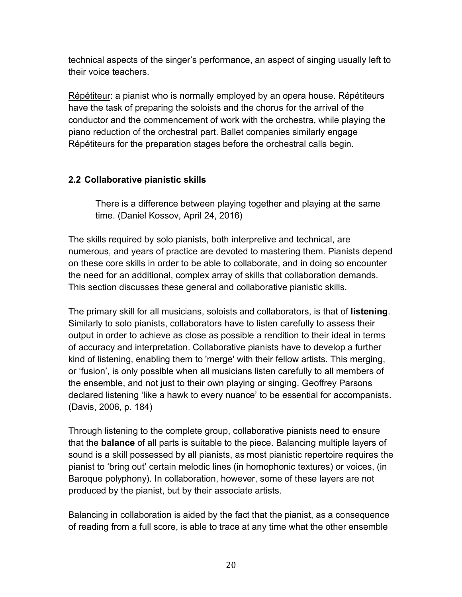technical aspects of the singer's performance, an aspect of singing usually left to their voice teachers.

Répétiteur: a pianist who is normally employed by an opera house. Répétiteurs have the task of preparing the soloists and the chorus for the arrival of the conductor and the commencement of work with the orchestra, while playing the piano reduction of the orchestral part. Ballet companies similarly engage Répétiteurs for the preparation stages before the orchestral calls begin.

# **2.2 Collaborative pianistic skills**

There is a difference between playing together and playing at the same time. (Daniel Kossov, April 24, 2016)

The skills required by solo pianists, both interpretive and technical, are numerous, and years of practice are devoted to mastering them. Pianists depend on these core skills in order to be able to collaborate, and in doing so encounter the need for an additional, complex array of skills that collaboration demands. This section discusses these general and collaborative pianistic skills.

The primary skill for all musicians, soloists and collaborators, is that of **listening**. Similarly to solo pianists, collaborators have to listen carefully to assess their output in order to achieve as close as possible a rendition to their ideal in terms of accuracy and interpretation. Collaborative pianists have to develop a further kind of listening, enabling them to 'merge' with their fellow artists. This merging, or 'fusion', is only possible when all musicians listen carefully to all members of the ensemble, and not just to their own playing or singing. Geoffrey Parsons declared listening 'like a hawk to every nuance' to be essential for accompanists. (Davis, 2006, p. 184)

Through listening to the complete group, collaborative pianists need to ensure that the **balance** of all parts is suitable to the piece. Balancing multiple layers of sound is a skill possessed by all pianists, as most pianistic repertoire requires the pianist to 'bring out' certain melodic lines (in homophonic textures) or voices, (in Baroque polyphony). In collaboration, however, some of these layers are not produced by the pianist, but by their associate artists.

Balancing in collaboration is aided by the fact that the pianist, as a consequence of reading from a full score, is able to trace at any time what the other ensemble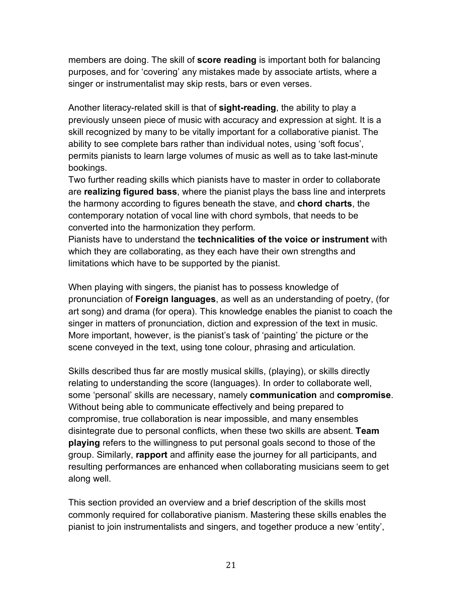members are doing. The skill of **score reading** is important both for balancing purposes, and for 'covering' any mistakes made by associate artists, where a singer or instrumentalist may skip rests, bars or even verses.

Another literacy-related skill is that of **sight-reading**, the ability to play a previously unseen piece of music with accuracy and expression at sight. It is a skill recognized by many to be vitally important for a collaborative pianist. The ability to see complete bars rather than individual notes, using 'soft focus', permits pianists to learn large volumes of music as well as to take last-minute bookings.

Two further reading skills which pianists have to master in order to collaborate are **realizing figured bass**, where the pianist plays the bass line and interprets the harmony according to figures beneath the stave, and **chord charts**, the contemporary notation of vocal line with chord symbols, that needs to be converted into the harmonization they perform.

Pianists have to understand the **technicalities of the voice or instrument** with which they are collaborating, as they each have their own strengths and limitations which have to be supported by the pianist.

When playing with singers, the pianist has to possess knowledge of pronunciation of **Foreign languages**, as well as an understanding of poetry, (for art song) and drama (for opera). This knowledge enables the pianist to coach the singer in matters of pronunciation, diction and expression of the text in music. More important, however, is the pianist's task of 'painting' the picture or the scene conveyed in the text, using tone colour, phrasing and articulation.

Skills described thus far are mostly musical skills, (playing), or skills directly relating to understanding the score (languages). In order to collaborate well, some 'personal' skills are necessary, namely **communication** and **compromise**. Without being able to communicate effectively and being prepared to compromise, true collaboration is near impossible, and many ensembles disintegrate due to personal conflicts, when these two skills are absent. **Team playing** refers to the willingness to put personal goals second to those of the group. Similarly, **rapport** and affinity ease the journey for all participants, and resulting performances are enhanced when collaborating musicians seem to get along well.

This section provided an overview and a brief description of the skills most commonly required for collaborative pianism. Mastering these skills enables the pianist to join instrumentalists and singers, and together produce a new 'entity',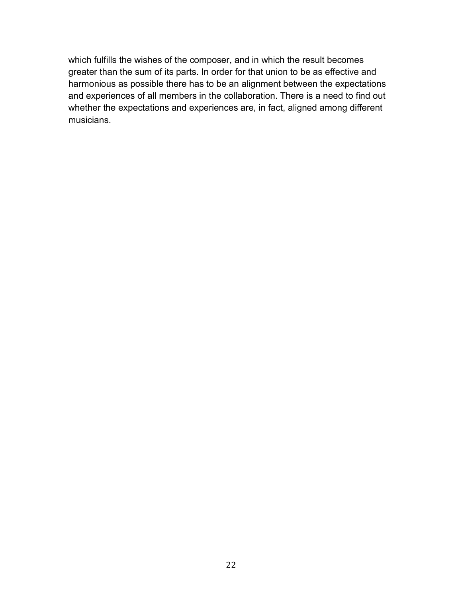which fulfills the wishes of the composer, and in which the result becomes greater than the sum of its parts. In order for that union to be as effective and harmonious as possible there has to be an alignment between the expectations and experiences of all members in the collaboration. There is a need to find out whether the expectations and experiences are, in fact, aligned among different musicians.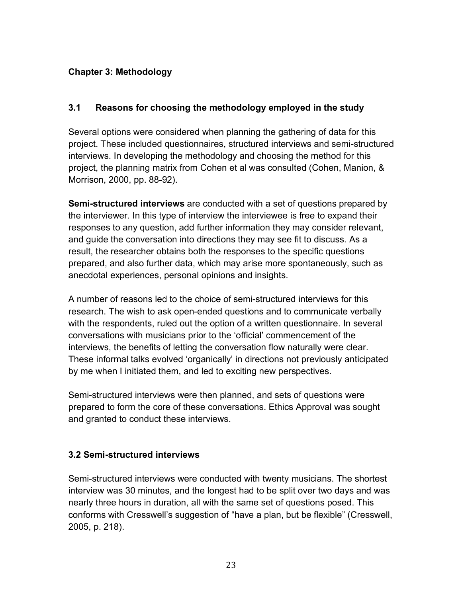# **Chapter 3: Methodology**

#### **3.1 Reasons for choosing the methodology employed in the study**

Several options were considered when planning the gathering of data for this project. These included questionnaires, structured interviews and semi-structured interviews. In developing the methodology and choosing the method for this project, the planning matrix from Cohen et al was consulted (Cohen, Manion, & Morrison, 2000, pp. 88-92).

**Semi-structured interviews** are conducted with a set of questions prepared by the interviewer. In this type of interview the interviewee is free to expand their responses to any question, add further information they may consider relevant, and guide the conversation into directions they may see fit to discuss. As a result, the researcher obtains both the responses to the specific questions prepared, and also further data, which may arise more spontaneously, such as anecdotal experiences, personal opinions and insights.

A number of reasons led to the choice of semi-structured interviews for this research. The wish to ask open-ended questions and to communicate verbally with the respondents, ruled out the option of a written questionnaire. In several conversations with musicians prior to the 'official' commencement of the interviews, the benefits of letting the conversation flow naturally were clear. These informal talks evolved 'organically' in directions not previously anticipated by me when I initiated them, and led to exciting new perspectives.

Semi-structured interviews were then planned, and sets of questions were prepared to form the core of these conversations. Ethics Approval was sought and granted to conduct these interviews.

#### **3.2 Semi-structured interviews**

Semi-structured interviews were conducted with twenty musicians. The shortest interview was 30 minutes, and the longest had to be split over two days and was nearly three hours in duration, all with the same set of questions posed. This conforms with Cresswell's suggestion of "have a plan, but be flexible" (Cresswell, 2005, p. 218).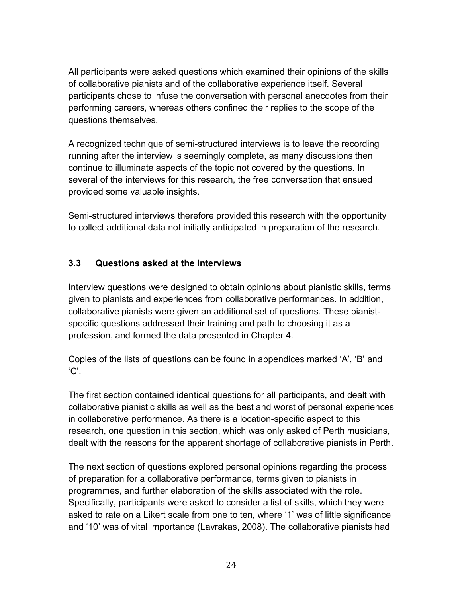All participants were asked questions which examined their opinions of the skills of collaborative pianists and of the collaborative experience itself. Several participants chose to infuse the conversation with personal anecdotes from their performing careers, whereas others confined their replies to the scope of the questions themselves.

A recognized technique of semi-structured interviews is to leave the recording running after the interview is seemingly complete, as many discussions then continue to illuminate aspects of the topic not covered by the questions. In several of the interviews for this research, the free conversation that ensued provided some valuable insights.

Semi-structured interviews therefore provided this research with the opportunity to collect additional data not initially anticipated in preparation of the research.

# **3.3 Questions asked at the Interviews**

Interview questions were designed to obtain opinions about pianistic skills, terms given to pianists and experiences from collaborative performances. In addition, collaborative pianists were given an additional set of questions. These pianistspecific questions addressed their training and path to choosing it as a profession, and formed the data presented in Chapter 4.

Copies of the lists of questions can be found in appendices marked 'A', 'B' and 'C'.

The first section contained identical questions for all participants, and dealt with collaborative pianistic skills as well as the best and worst of personal experiences in collaborative performance. As there is a location-specific aspect to this research, one question in this section, which was only asked of Perth musicians, dealt with the reasons for the apparent shortage of collaborative pianists in Perth.

The next section of questions explored personal opinions regarding the process of preparation for a collaborative performance, terms given to pianists in programmes, and further elaboration of the skills associated with the role. Specifically, participants were asked to consider a list of skills, which they were asked to rate on a Likert scale from one to ten, where '1' was of little significance and '10' was of vital importance (Lavrakas, 2008). The collaborative pianists had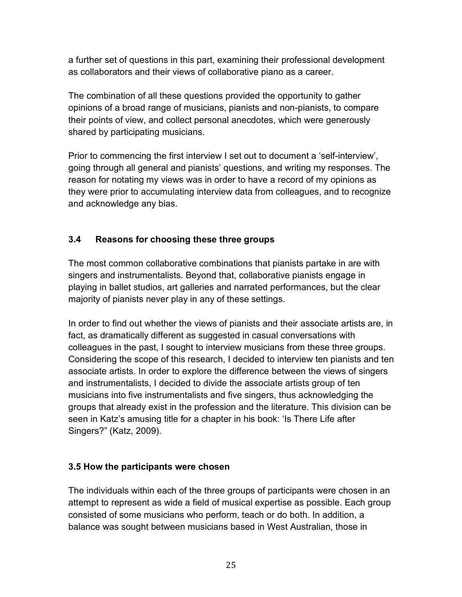a further set of questions in this part, examining their professional development as collaborators and their views of collaborative piano as a career.

The combination of all these questions provided the opportunity to gather opinions of a broad range of musicians, pianists and non-pianists, to compare their points of view, and collect personal anecdotes, which were generously shared by participating musicians.

Prior to commencing the first interview I set out to document a 'self-interview', going through all general and pianists' questions, and writing my responses. The reason for notating my views was in order to have a record of my opinions as they were prior to accumulating interview data from colleagues, and to recognize and acknowledge any bias.

# **3.4 Reasons for choosing these three groups**

The most common collaborative combinations that pianists partake in are with singers and instrumentalists. Beyond that, collaborative pianists engage in playing in ballet studios, art galleries and narrated performances, but the clear majority of pianists never play in any of these settings.

In order to find out whether the views of pianists and their associate artists are, in fact, as dramatically different as suggested in casual conversations with colleagues in the past, I sought to interview musicians from these three groups. Considering the scope of this research, I decided to interview ten pianists and ten associate artists. In order to explore the difference between the views of singers and instrumentalists, I decided to divide the associate artists group of ten musicians into five instrumentalists and five singers, thus acknowledging the groups that already exist in the profession and the literature. This division can be seen in Katz's amusing title for a chapter in his book: 'Is There Life after Singers?" (Katz, 2009).

#### **3.5 How the participants were chosen**

The individuals within each of the three groups of participants were chosen in an attempt to represent as wide a field of musical expertise as possible. Each group consisted of some musicians who perform, teach or do both. In addition, a balance was sought between musicians based in West Australian, those in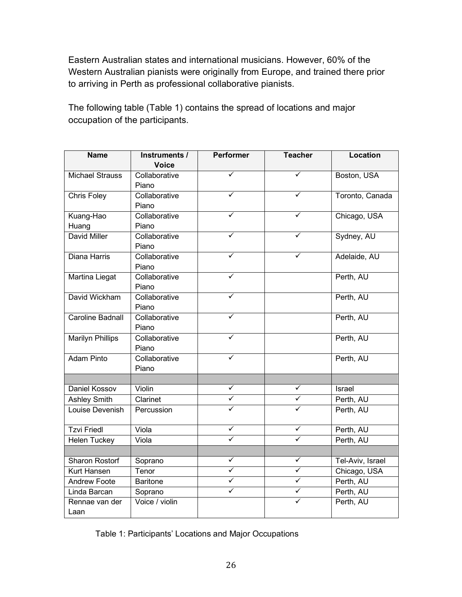Eastern Australian states and international musicians. However, 60% of the Western Australian pianists were originally from Europe, and trained there prior to arriving in Perth as professional collaborative pianists.

The following table (Table 1) contains the spread of locations and major occupation of the participants.

| <b>Name</b>             | Instruments /   | <b>Performer</b> | <b>Teacher</b> | <b>Location</b>  |
|-------------------------|-----------------|------------------|----------------|------------------|
|                         | <b>Voice</b>    |                  |                |                  |
| <b>Michael Strauss</b>  | Collaborative   |                  | ✓              | Boston, USA      |
|                         | Piano           |                  |                |                  |
| Chris Foley             | Collaborative   |                  |                | Toronto, Canada  |
|                         | Piano           |                  |                |                  |
| Kuang-Hao               | Collaborative   |                  |                | Chicago, USA     |
| Huang                   | Piano           |                  |                |                  |
| <b>David Miller</b>     | Collaborative   |                  |                | Sydney, AU       |
|                         | Piano           |                  |                |                  |
| Diana Harris            | Collaborative   |                  |                | Adelaide, AU     |
|                         | Piano           |                  |                |                  |
| <b>Martina Liegat</b>   | Collaborative   | ✓                |                | Perth, AU        |
|                         | Piano           |                  |                |                  |
| David Wickham           | Collaborative   | ✓                |                | Perth, AU        |
|                         | Piano           |                  |                |                  |
| <b>Caroline Badnall</b> | Collaborative   |                  |                | Perth, AU        |
|                         | Piano           |                  |                |                  |
| <b>Marilyn Phillips</b> | Collaborative   | ✓                |                | Perth, AU        |
|                         | Piano           |                  |                |                  |
| <b>Adam Pinto</b>       | Collaborative   | ✓                |                | Perth, AU        |
|                         | Piano           |                  |                |                  |
|                         |                 |                  |                |                  |
| Daniel Kossov           | Violin          | ✓                | ✓              | <b>Israel</b>    |
| <b>Ashley Smith</b>     | Clarinet        | ✓                | ✓              | Perth, AU        |
| Louise Devenish         | Percussion      | ✓                | ✓              | Perth, AU        |
|                         |                 |                  |                |                  |
| <b>Tzvi Friedl</b>      | Viola           | ✓                | ✓              | Perth, AU        |
| <b>Helen Tuckey</b>     | Viola           |                  | ✓              | Perth, AU        |
|                         |                 |                  |                |                  |
| <b>Sharon Rostorf</b>   | Soprano         | ✓                | ✓              | Tel-Aviv, Israel |
| <b>Kurt Hansen</b>      | Tenor           | ✓                | ✓              | Chicago, USA     |
| <b>Andrew Foote</b>     | <b>Baritone</b> | ✓                | ✓              | Perth, AU        |
| Linda Barcan            | Soprano         | $\checkmark$     | $\checkmark$   | Perth, AU        |
| Rennae van der          | Voice / violin  |                  | ✓              | Perth, AU        |
| Laan                    |                 |                  |                |                  |

Table 1: Participants' Locations and Major Occupations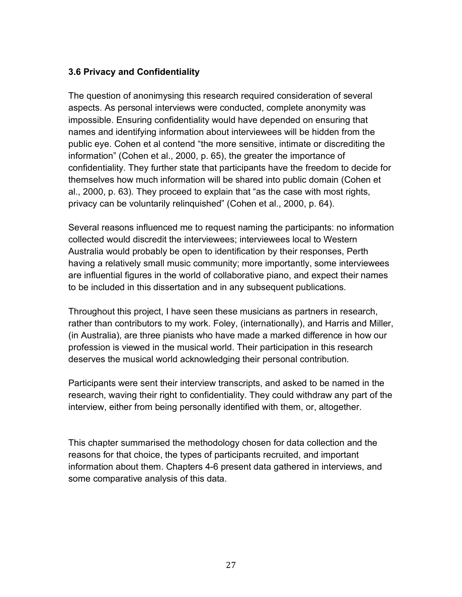## **3.6 Privacy and Confidentiality**

The question of anonimysing this research required consideration of several aspects. As personal interviews were conducted, complete anonymity was impossible. Ensuring confidentiality would have depended on ensuring that names and identifying information about interviewees will be hidden from the public eye. Cohen et al contend "the more sensitive, intimate or discrediting the information" (Cohen et al., 2000, p. 65), the greater the importance of confidentiality. They further state that participants have the freedom to decide for themselves how much information will be shared into public domain (Cohen et al., 2000, p. 63). They proceed to explain that "as the case with most rights, privacy can be voluntarily relinquished" (Cohen et al., 2000, p. 64).

Several reasons influenced me to request naming the participants: no information collected would discredit the interviewees; interviewees local to Western Australia would probably be open to identification by their responses, Perth having a relatively small music community; more importantly, some interviewees are influential figures in the world of collaborative piano, and expect their names to be included in this dissertation and in any subsequent publications.

Throughout this project, I have seen these musicians as partners in research, rather than contributors to my work. Foley, (internationally), and Harris and Miller, (in Australia), are three pianists who have made a marked difference in how our profession is viewed in the musical world. Their participation in this research deserves the musical world acknowledging their personal contribution.

Participants were sent their interview transcripts, and asked to be named in the research, waving their right to confidentiality. They could withdraw any part of the interview, either from being personally identified with them, or, altogether.

This chapter summarised the methodology chosen for data collection and the reasons for that choice, the types of participants recruited, and important information about them. Chapters 4-6 present data gathered in interviews, and some comparative analysis of this data.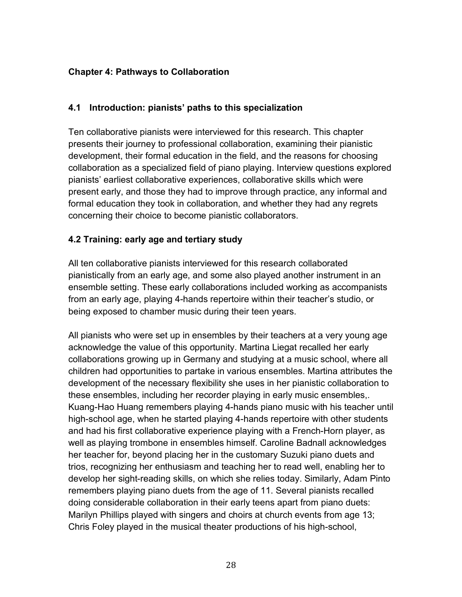# **Chapter 4: Pathways to Collaboration**

#### **4.1 Introduction: pianists' paths to this specialization**

Ten collaborative pianists were interviewed for this research. This chapter presents their journey to professional collaboration, examining their pianistic development, their formal education in the field, and the reasons for choosing collaboration as a specialized field of piano playing. Interview questions explored pianists' earliest collaborative experiences, collaborative skills which were present early, and those they had to improve through practice, any informal and formal education they took in collaboration, and whether they had any regrets concerning their choice to become pianistic collaborators.

#### **4.2 Training: early age and tertiary study**

All ten collaborative pianists interviewed for this research collaborated pianistically from an early age, and some also played another instrument in an ensemble setting. These early collaborations included working as accompanists from an early age, playing 4-hands repertoire within their teacher's studio, or being exposed to chamber music during their teen years.

All pianists who were set up in ensembles by their teachers at a very young age acknowledge the value of this opportunity. Martina Liegat recalled her early collaborations growing up in Germany and studying at a music school, where all children had opportunities to partake in various ensembles. Martina attributes the development of the necessary flexibility she uses in her pianistic collaboration to these ensembles, including her recorder playing in early music ensembles,. Kuang-Hao Huang remembers playing 4-hands piano music with his teacher until high-school age, when he started playing 4-hands repertoire with other students and had his first collaborative experience playing with a French-Horn player, as well as playing trombone in ensembles himself. Caroline Badnall acknowledges her teacher for, beyond placing her in the customary Suzuki piano duets and trios, recognizing her enthusiasm and teaching her to read well, enabling her to develop her sight-reading skills, on which she relies today. Similarly, Adam Pinto remembers playing piano duets from the age of 11. Several pianists recalled doing considerable collaboration in their early teens apart from piano duets: Marilyn Phillips played with singers and choirs at church events from age 13; Chris Foley played in the musical theater productions of his high-school,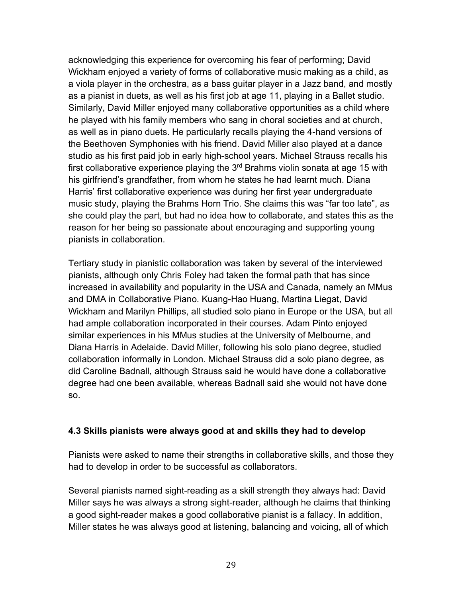acknowledging this experience for overcoming his fear of performing; David Wickham enjoyed a variety of forms of collaborative music making as a child, as a viola player in the orchestra, as a bass guitar player in a Jazz band, and mostly as a pianist in duets, as well as his first job at age 11, playing in a Ballet studio. Similarly, David Miller enjoyed many collaborative opportunities as a child where he played with his family members who sang in choral societies and at church, as well as in piano duets. He particularly recalls playing the 4-hand versions of the Beethoven Symphonies with his friend. David Miller also played at a dance studio as his first paid job in early high-school years. Michael Strauss recalls his first collaborative experience playing the  $3<sup>rd</sup>$  Brahms violin sonata at age 15 with his girlfriend's grandfather, from whom he states he had learnt much. Diana Harris' first collaborative experience was during her first year undergraduate music study, playing the Brahms Horn Trio. She claims this was "far too late", as she could play the part, but had no idea how to collaborate, and states this as the reason for her being so passionate about encouraging and supporting young pianists in collaboration.

Tertiary study in pianistic collaboration was taken by several of the interviewed pianists, although only Chris Foley had taken the formal path that has since increased in availability and popularity in the USA and Canada, namely an MMus and DMA in Collaborative Piano. Kuang-Hao Huang, Martina Liegat, David Wickham and Marilyn Phillips, all studied solo piano in Europe or the USA, but all had ample collaboration incorporated in their courses. Adam Pinto enjoyed similar experiences in his MMus studies at the University of Melbourne, and Diana Harris in Adelaide. David Miller, following his solo piano degree, studied collaboration informally in London. Michael Strauss did a solo piano degree, as did Caroline Badnall, although Strauss said he would have done a collaborative degree had one been available, whereas Badnall said she would not have done so.

#### **4.3 Skills pianists were always good at and skills they had to develop**

Pianists were asked to name their strengths in collaborative skills, and those they had to develop in order to be successful as collaborators.

Several pianists named sight-reading as a skill strength they always had: David Miller says he was always a strong sight-reader, although he claims that thinking a good sight-reader makes a good collaborative pianist is a fallacy. In addition, Miller states he was always good at listening, balancing and voicing, all of which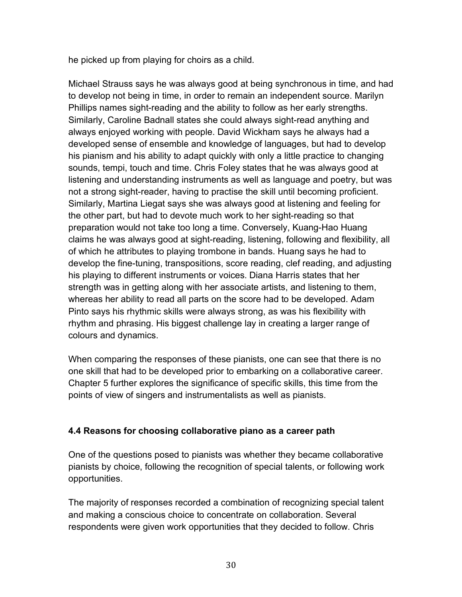he picked up from playing for choirs as a child.

Michael Strauss says he was always good at being synchronous in time, and had to develop not being in time, in order to remain an independent source. Marilyn Phillips names sight-reading and the ability to follow as her early strengths. Similarly, Caroline Badnall states she could always sight-read anything and always enjoyed working with people. David Wickham says he always had a developed sense of ensemble and knowledge of languages, but had to develop his pianism and his ability to adapt quickly with only a little practice to changing sounds, tempi, touch and time. Chris Foley states that he was always good at listening and understanding instruments as well as language and poetry, but was not a strong sight-reader, having to practise the skill until becoming proficient. Similarly, Martina Liegat says she was always good at listening and feeling for the other part, but had to devote much work to her sight-reading so that preparation would not take too long a time. Conversely, Kuang-Hao Huang claims he was always good at sight-reading, listening, following and flexibility, all of which he attributes to playing trombone in bands. Huang says he had to develop the fine-tuning, transpositions, score reading, clef reading, and adjusting his playing to different instruments or voices. Diana Harris states that her strength was in getting along with her associate artists, and listening to them, whereas her ability to read all parts on the score had to be developed. Adam Pinto says his rhythmic skills were always strong, as was his flexibility with rhythm and phrasing. His biggest challenge lay in creating a larger range of colours and dynamics.

When comparing the responses of these pianists, one can see that there is no one skill that had to be developed prior to embarking on a collaborative career. Chapter 5 further explores the significance of specific skills, this time from the points of view of singers and instrumentalists as well as pianists.

#### **4.4 Reasons for choosing collaborative piano as a career path**

One of the questions posed to pianists was whether they became collaborative pianists by choice, following the recognition of special talents, or following work opportunities.

The majority of responses recorded a combination of recognizing special talent and making a conscious choice to concentrate on collaboration. Several respondents were given work opportunities that they decided to follow. Chris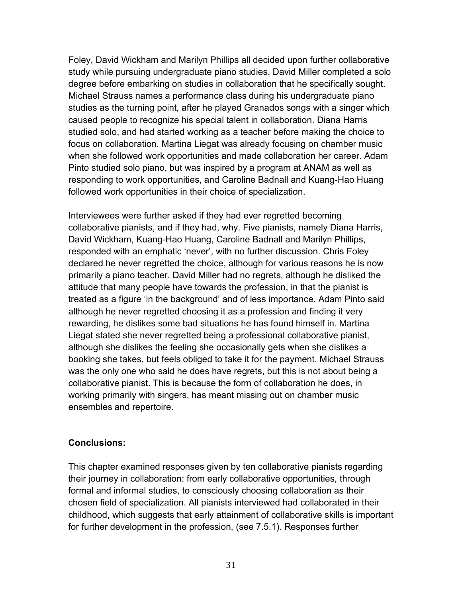Foley, David Wickham and Marilyn Phillips all decided upon further collaborative study while pursuing undergraduate piano studies. David Miller completed a solo degree before embarking on studies in collaboration that he specifically sought. Michael Strauss names a performance class during his undergraduate piano studies as the turning point, after he played Granados songs with a singer which caused people to recognize his special talent in collaboration. Diana Harris studied solo, and had started working as a teacher before making the choice to focus on collaboration. Martina Liegat was already focusing on chamber music when she followed work opportunities and made collaboration her career. Adam Pinto studied solo piano, but was inspired by a program at ANAM as well as responding to work opportunities, and Caroline Badnall and Kuang-Hao Huang followed work opportunities in their choice of specialization.

Interviewees were further asked if they had ever regretted becoming collaborative pianists, and if they had, why. Five pianists, namely Diana Harris, David Wickham, Kuang-Hao Huang, Caroline Badnall and Marilyn Phillips, responded with an emphatic 'never', with no further discussion. Chris Foley declared he never regretted the choice, although for various reasons he is now primarily a piano teacher. David Miller had no regrets, although he disliked the attitude that many people have towards the profession, in that the pianist is treated as a figure 'in the background' and of less importance. Adam Pinto said although he never regretted choosing it as a profession and finding it very rewarding, he dislikes some bad situations he has found himself in. Martina Liegat stated she never regretted being a professional collaborative pianist, although she dislikes the feeling she occasionally gets when she dislikes a booking she takes, but feels obliged to take it for the payment. Michael Strauss was the only one who said he does have regrets, but this is not about being a collaborative pianist. This is because the form of collaboration he does, in working primarily with singers, has meant missing out on chamber music ensembles and repertoire.

#### **Conclusions:**

This chapter examined responses given by ten collaborative pianists regarding their journey in collaboration: from early collaborative opportunities, through formal and informal studies, to consciously choosing collaboration as their chosen field of specialization. All pianists interviewed had collaborated in their childhood, which suggests that early attainment of collaborative skills is important for further development in the profession, (see 7.5.1). Responses further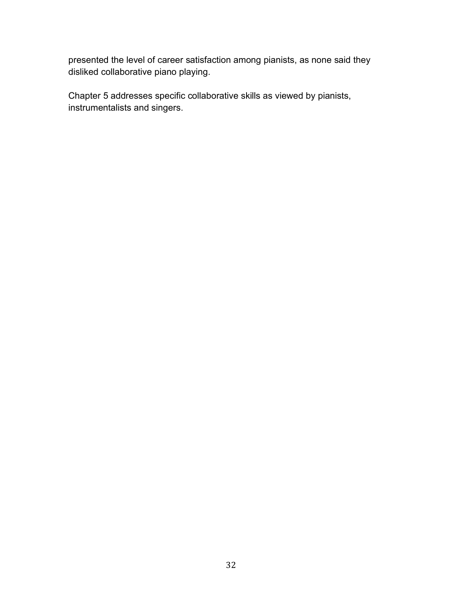presented the level of career satisfaction among pianists, as none said they disliked collaborative piano playing.

Chapter 5 addresses specific collaborative skills as viewed by pianists, instrumentalists and singers.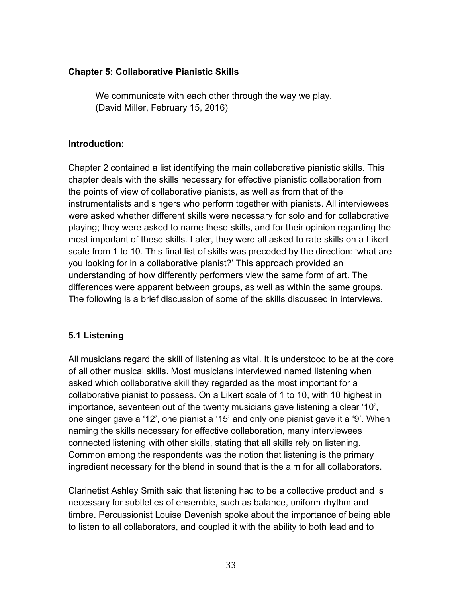#### **Chapter 5: Collaborative Pianistic Skills**

We communicate with each other through the way we play. (David Miller, February 15, 2016)

#### **Introduction:**

Chapter 2 contained a list identifying the main collaborative pianistic skills. This chapter deals with the skills necessary for effective pianistic collaboration from the points of view of collaborative pianists, as well as from that of the instrumentalists and singers who perform together with pianists. All interviewees were asked whether different skills were necessary for solo and for collaborative playing; they were asked to name these skills, and for their opinion regarding the most important of these skills. Later, they were all asked to rate skills on a Likert scale from 1 to 10. This final list of skills was preceded by the direction: 'what are you looking for in a collaborative pianist?' This approach provided an understanding of how differently performers view the same form of art. The differences were apparent between groups, as well as within the same groups. The following is a brief discussion of some of the skills discussed in interviews.

#### **5.1 Listening**

All musicians regard the skill of listening as vital. It is understood to be at the core of all other musical skills. Most musicians interviewed named listening when asked which collaborative skill they regarded as the most important for a collaborative pianist to possess. On a Likert scale of 1 to 10, with 10 highest in importance, seventeen out of the twenty musicians gave listening a clear '10', one singer gave a '12', one pianist a '15' and only one pianist gave it a '9'. When naming the skills necessary for effective collaboration, many interviewees connected listening with other skills, stating that all skills rely on listening. Common among the respondents was the notion that listening is the primary ingredient necessary for the blend in sound that is the aim for all collaborators.

Clarinetist Ashley Smith said that listening had to be a collective product and is necessary for subtleties of ensemble, such as balance, uniform rhythm and timbre. Percussionist Louise Devenish spoke about the importance of being able to listen to all collaborators, and coupled it with the ability to both lead and to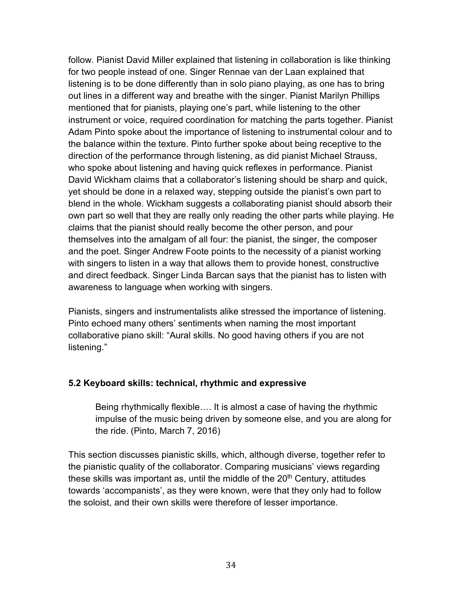follow. Pianist David Miller explained that listening in collaboration is like thinking for two people instead of one. Singer Rennae van der Laan explained that listening is to be done differently than in solo piano playing, as one has to bring out lines in a different way and breathe with the singer. Pianist Marilyn Phillips mentioned that for pianists, playing one's part, while listening to the other instrument or voice, required coordination for matching the parts together. Pianist Adam Pinto spoke about the importance of listening to instrumental colour and to the balance within the texture. Pinto further spoke about being receptive to the direction of the performance through listening, as did pianist Michael Strauss, who spoke about listening and having quick reflexes in performance. Pianist David Wickham claims that a collaborator's listening should be sharp and quick, yet should be done in a relaxed way, stepping outside the pianist's own part to blend in the whole. Wickham suggests a collaborating pianist should absorb their own part so well that they are really only reading the other parts while playing. He claims that the pianist should really become the other person, and pour themselves into the amalgam of all four: the pianist, the singer, the composer and the poet. Singer Andrew Foote points to the necessity of a pianist working with singers to listen in a way that allows them to provide honest, constructive and direct feedback. Singer Linda Barcan says that the pianist has to listen with awareness to language when working with singers.

Pianists, singers and instrumentalists alike stressed the importance of listening. Pinto echoed many others' sentiments when naming the most important collaborative piano skill: "Aural skills. No good having others if you are not listening."

#### **5.2 Keyboard skills: technical, rhythmic and expressive**

Being rhythmically flexible…. It is almost a case of having the rhythmic impulse of the music being driven by someone else, and you are along for the ride. (Pinto, March 7, 2016)

This section discusses pianistic skills, which, although diverse, together refer to the pianistic quality of the collaborator. Comparing musicians' views regarding these skills was important as, until the middle of the  $20<sup>th</sup>$  Century, attitudes towards 'accompanists', as they were known, were that they only had to follow the soloist, and their own skills were therefore of lesser importance.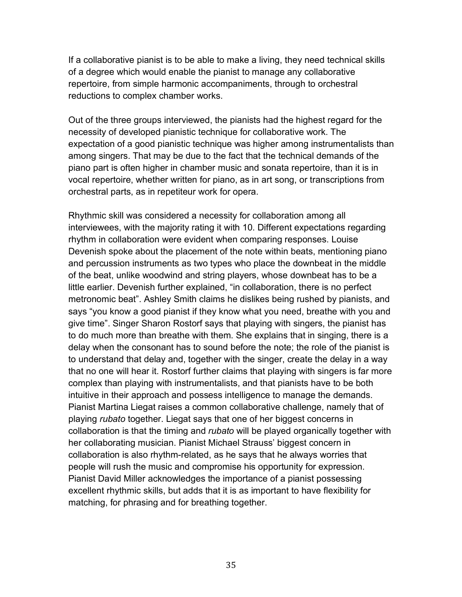If a collaborative pianist is to be able to make a living, they need technical skills of a degree which would enable the pianist to manage any collaborative repertoire, from simple harmonic accompaniments, through to orchestral reductions to complex chamber works.

Out of the three groups interviewed, the pianists had the highest regard for the necessity of developed pianistic technique for collaborative work. The expectation of a good pianistic technique was higher among instrumentalists than among singers. That may be due to the fact that the technical demands of the piano part is often higher in chamber music and sonata repertoire, than it is in vocal repertoire, whether written for piano, as in art song, or transcriptions from orchestral parts, as in repetiteur work for opera.

Rhythmic skill was considered a necessity for collaboration among all interviewees, with the majority rating it with 10. Different expectations regarding rhythm in collaboration were evident when comparing responses. Louise Devenish spoke about the placement of the note within beats, mentioning piano and percussion instruments as two types who place the downbeat in the middle of the beat, unlike woodwind and string players, whose downbeat has to be a little earlier. Devenish further explained, "in collaboration, there is no perfect metronomic beat". Ashley Smith claims he dislikes being rushed by pianists, and says "you know a good pianist if they know what you need, breathe with you and give time". Singer Sharon Rostorf says that playing with singers, the pianist has to do much more than breathe with them. She explains that in singing, there is a delay when the consonant has to sound before the note; the role of the pianist is to understand that delay and, together with the singer, create the delay in a way that no one will hear it. Rostorf further claims that playing with singers is far more complex than playing with instrumentalists, and that pianists have to be both intuitive in their approach and possess intelligence to manage the demands. Pianist Martina Liegat raises a common collaborative challenge, namely that of playing *rubato* together. Liegat says that one of her biggest concerns in collaboration is that the timing and *rubato* will be played organically together with her collaborating musician. Pianist Michael Strauss' biggest concern in collaboration is also rhythm-related, as he says that he always worries that people will rush the music and compromise his opportunity for expression. Pianist David Miller acknowledges the importance of a pianist possessing excellent rhythmic skills, but adds that it is as important to have flexibility for matching, for phrasing and for breathing together.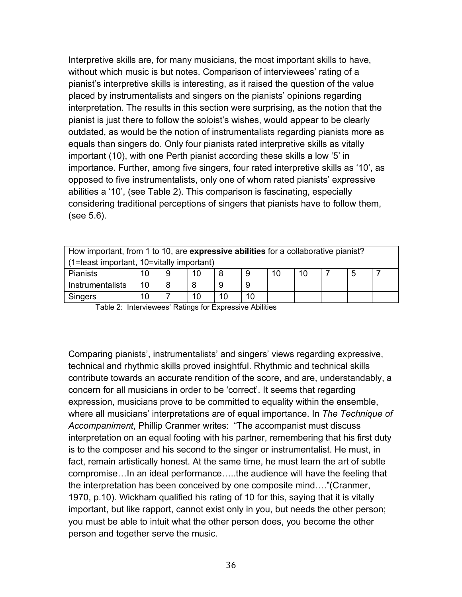Interpretive skills are, for many musicians, the most important skills to have, without which music is but notes. Comparison of interviewees' rating of a pianist's interpretive skills is interesting, as it raised the question of the value placed by instrumentalists and singers on the pianists' opinions regarding interpretation. The results in this section were surprising, as the notion that the pianist is just there to follow the soloist's wishes, would appear to be clearly outdated, as would be the notion of instrumentalists regarding pianists more as equals than singers do. Only four pianists rated interpretive skills as vitally important (10), with one Perth pianist according these skills a low '5' in importance. Further, among five singers, four rated interpretive skills as '10', as opposed to five instrumentalists, only one of whom rated pianists' expressive abilities a '10', (see Table 2). This comparison is fascinating, especially considering traditional perceptions of singers that pianists have to follow them, (see 5.6).

| How important, from 1 to 10, are expressive abilities for a collaborative pianist? |              |                          |  |  |  |  |  |  |  |  |
|------------------------------------------------------------------------------------|--------------|--------------------------|--|--|--|--|--|--|--|--|
| (1=least important, 10=vitally important)                                          |              |                          |  |  |  |  |  |  |  |  |
| Pianists                                                                           | 10           | 10<br>5<br>10<br>9<br>10 |  |  |  |  |  |  |  |  |
| Instrumentalists                                                                   | 10<br>9<br>9 |                          |  |  |  |  |  |  |  |  |
| 10<br>10<br>10<br>10<br><b>Singers</b>                                             |              |                          |  |  |  |  |  |  |  |  |

Table 2: Interviewees' Ratings for Expressive Abilities

Comparing pianists', instrumentalists' and singers' views regarding expressive, technical and rhythmic skills proved insightful. Rhythmic and technical skills contribute towards an accurate rendition of the score, and are, understandably, a concern for all musicians in order to be 'correct'. It seems that regarding expression, musicians prove to be committed to equality within the ensemble, where all musicians' interpretations are of equal importance. In *The Technique of Accompaniment*, Phillip Cranmer writes: "The accompanist must discuss interpretation on an equal footing with his partner, remembering that his first duty is to the composer and his second to the singer or instrumentalist. He must, in fact, remain artistically honest. At the same time, he must learn the art of subtle compromise…In an ideal performance…..the audience will have the feeling that the interpretation has been conceived by one composite mind…."(Cranmer, 1970, p.10). Wickham qualified his rating of 10 for this, saying that it is vitally important, but like rapport, cannot exist only in you, but needs the other person; you must be able to intuit what the other person does, you become the other person and together serve the music.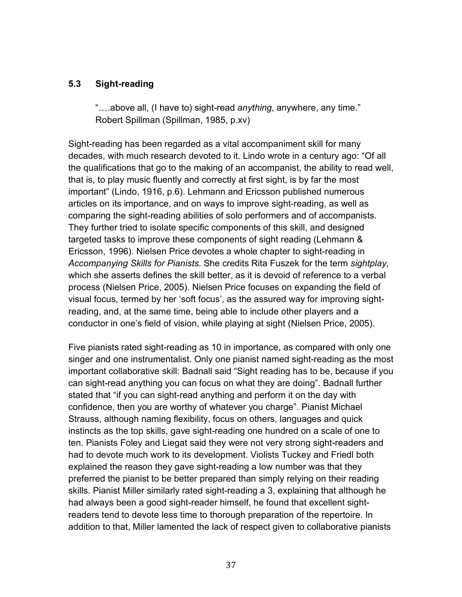### **5.3 Sight-reading**

"….above all, (I have to) sight-read *anything*, anywhere, any time." Robert Spillman (Spillman, 1985, p.xv)

Sight-reading has been regarded as a vital accompaniment skill for many decades, with much research devoted to it. Lindo wrote in a century ago: "Of all the qualifications that go to the making of an accompanist, the ability to read well, that is, to play music fluently and correctly at first sight, is by far the most important" (Lindo, 1916, p.6). Lehmann and Ericsson published numerous articles on its importance, and on ways to improve sight-reading, as well as comparing the sight-reading abilities of solo performers and of accompanists. They further tried to isolate specific components of this skill, and designed targeted tasks to improve these components of sight reading (Lehmann & Ericsson, 1996). Nielsen Price devotes a whole chapter to sight-reading in *Accompanying Skills for Pianists.* She credits Rita Fuszek for the term *sightplay*, which she asserts defines the skill better, as it is devoid of reference to a verbal process (Nielsen Price, 2005). Nielsen Price focuses on expanding the field of visual focus, termed by her 'soft focus', as the assured way for improving sightreading, and, at the same time, being able to include other players and a conductor in one's field of vision, while playing at sight (Nielsen Price, 2005).

Five pianists rated sight-reading as 10 in importance, as compared with only one singer and one instrumentalist. Only one pianist named sight-reading as the most important collaborative skill: Badnall said "Sight reading has to be, because if you can sight-read anything you can focus on what they are doing". Badnall further stated that "if you can sight-read anything and perform it on the day with confidence, then you are worthy of whatever you charge". Pianist Michael Strauss, although naming flexibility, focus on others, languages and quick instincts as the top skills, gave sight-reading one hundred on a scale of one to ten. Pianists Foley and Liegat said they were not very strong sight-readers and had to devote much work to its development. Violists Tuckey and Friedl both explained the reason they gave sight-reading a low number was that they preferred the pianist to be better prepared than simply relying on their reading skills. Pianist Miller similarly rated sight-reading a 3, explaining that although he had always been a good sight-reader himself, he found that excellent sightreaders tend to devote less time to thorough preparation of the repertoire. In addition to that, Miller lamented the lack of respect given to collaborative pianists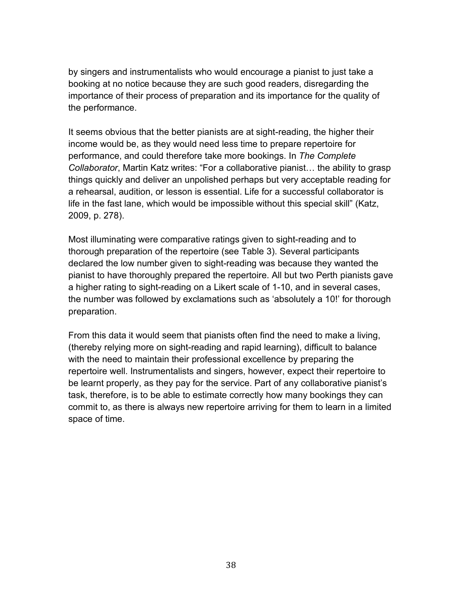by singers and instrumentalists who would encourage a pianist to just take a booking at no notice because they are such good readers, disregarding the importance of their process of preparation and its importance for the quality of the performance.

It seems obvious that the better pianists are at sight-reading, the higher their income would be, as they would need less time to prepare repertoire for performance, and could therefore take more bookings. In *The Complete Collaborator*, Martin Katz writes: "For a collaborative pianist… the ability to grasp things quickly and deliver an unpolished perhaps but very acceptable reading for a rehearsal, audition, or lesson is essential. Life for a successful collaborator is life in the fast lane, which would be impossible without this special skill" (Katz, 2009, p. 278).

Most illuminating were comparative ratings given to sight-reading and to thorough preparation of the repertoire (see Table 3). Several participants declared the low number given to sight-reading was because they wanted the pianist to have thoroughly prepared the repertoire. All but two Perth pianists gave a higher rating to sight-reading on a Likert scale of 1-10, and in several cases, the number was followed by exclamations such as 'absolutely a 10!' for thorough preparation.

From this data it would seem that pianists often find the need to make a living, (thereby relying more on sight-reading and rapid learning), difficult to balance with the need to maintain their professional excellence by preparing the repertoire well. Instrumentalists and singers, however, expect their repertoire to be learnt properly, as they pay for the service. Part of any collaborative pianist's task, therefore, is to be able to estimate correctly how many bookings they can commit to, as there is always new repertoire arriving for them to learn in a limited space of time.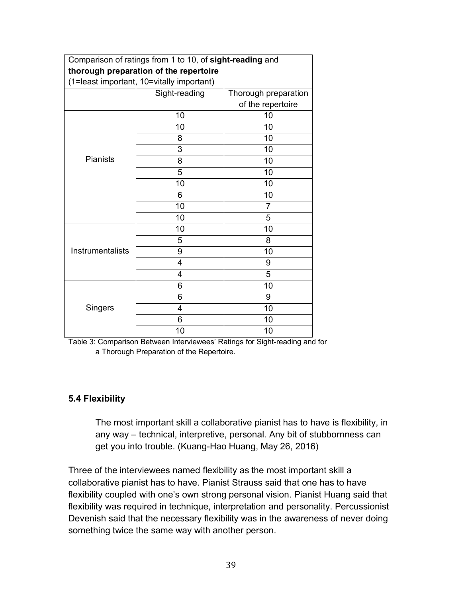|                  | Comparison of ratings from 1 to 10, of sight-reading and |                      |  |  |  |  |
|------------------|----------------------------------------------------------|----------------------|--|--|--|--|
|                  | thorough preparation of the repertoire                   |                      |  |  |  |  |
|                  | (1=least important, 10=vitally important)                |                      |  |  |  |  |
|                  | Sight-reading                                            | Thorough preparation |  |  |  |  |
|                  |                                                          | of the repertoire    |  |  |  |  |
|                  | 10                                                       | 10                   |  |  |  |  |
|                  | 10                                                       | 10                   |  |  |  |  |
|                  | 8                                                        | 10                   |  |  |  |  |
|                  | 3                                                        | 10                   |  |  |  |  |
| <b>Pianists</b>  | 8                                                        | 10                   |  |  |  |  |
|                  | 5                                                        | 10                   |  |  |  |  |
|                  | 10                                                       | 10                   |  |  |  |  |
|                  | 6                                                        | 10                   |  |  |  |  |
|                  | 10                                                       | 7                    |  |  |  |  |
|                  | 10                                                       | 5                    |  |  |  |  |
|                  | 10                                                       | 10                   |  |  |  |  |
|                  | 5                                                        | 8                    |  |  |  |  |
| Instrumentalists | 9                                                        | 10                   |  |  |  |  |
|                  | 4                                                        | 9                    |  |  |  |  |
|                  | 4                                                        | 5                    |  |  |  |  |
|                  | 6                                                        | 10                   |  |  |  |  |
|                  | 6                                                        | 9                    |  |  |  |  |
| Singers          | 4                                                        | 10                   |  |  |  |  |
|                  | 6                                                        | 10                   |  |  |  |  |
|                  | 10                                                       | 10                   |  |  |  |  |

Table 3: Comparison Between Interviewees' Ratings for Sight-reading and for a Thorough Preparation of the Repertoire.

## **5.4 Flexibility**

The most important skill a collaborative pianist has to have is flexibility, in any way – technical, interpretive, personal. Any bit of stubbornness can get you into trouble. (Kuang-Hao Huang, May 26, 2016)

Three of the interviewees named flexibility as the most important skill a collaborative pianist has to have. Pianist Strauss said that one has to have flexibility coupled with one's own strong personal vision. Pianist Huang said that flexibility was required in technique, interpretation and personality. Percussionist Devenish said that the necessary flexibility was in the awareness of never doing something twice the same way with another person.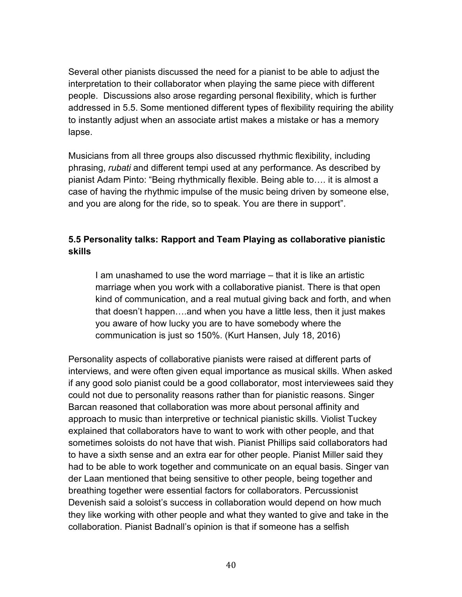Several other pianists discussed the need for a pianist to be able to adjust the interpretation to their collaborator when playing the same piece with different people. Discussions also arose regarding personal flexibility, which is further addressed in 5.5. Some mentioned different types of flexibility requiring the ability to instantly adjust when an associate artist makes a mistake or has a memory lapse.

Musicians from all three groups also discussed rhythmic flexibility, including phrasing, *rubati* and different tempi used at any performance. As described by pianist Adam Pinto: "Being rhythmically flexible. Being able to…. it is almost a case of having the rhythmic impulse of the music being driven by someone else, and you are along for the ride, so to speak. You are there in support".

# **5.5 Personality talks: Rapport and Team Playing as collaborative pianistic skills**

I am unashamed to use the word marriage – that it is like an artistic marriage when you work with a collaborative pianist. There is that open kind of communication, and a real mutual giving back and forth, and when that doesn't happen….and when you have a little less, then it just makes you aware of how lucky you are to have somebody where the communication is just so 150%. (Kurt Hansen, July 18, 2016)

Personality aspects of collaborative pianists were raised at different parts of interviews, and were often given equal importance as musical skills. When asked if any good solo pianist could be a good collaborator, most interviewees said they could not due to personality reasons rather than for pianistic reasons. Singer Barcan reasoned that collaboration was more about personal affinity and approach to music than interpretive or technical pianistic skills. Violist Tuckey explained that collaborators have to want to work with other people, and that sometimes soloists do not have that wish. Pianist Phillips said collaborators had to have a sixth sense and an extra ear for other people. Pianist Miller said they had to be able to work together and communicate on an equal basis. Singer van der Laan mentioned that being sensitive to other people, being together and breathing together were essential factors for collaborators. Percussionist Devenish said a soloist's success in collaboration would depend on how much they like working with other people and what they wanted to give and take in the collaboration. Pianist Badnall's opinion is that if someone has a selfish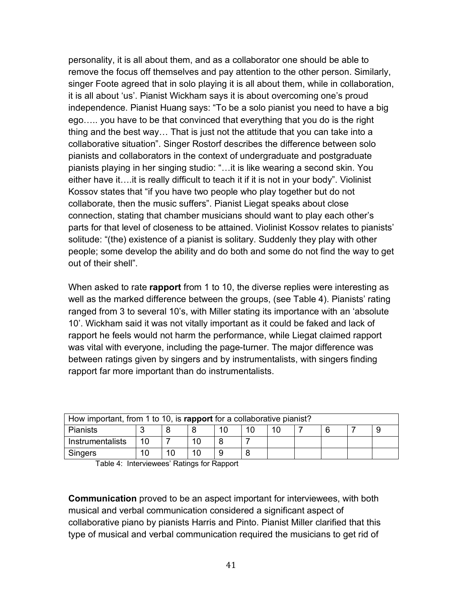personality, it is all about them, and as a collaborator one should be able to remove the focus off themselves and pay attention to the other person. Similarly, singer Foote agreed that in solo playing it is all about them, while in collaboration, it is all about 'us'. Pianist Wickham says it is about overcoming one's proud independence. Pianist Huang says: "To be a solo pianist you need to have a big ego….. you have to be that convinced that everything that you do is the right thing and the best way… That is just not the attitude that you can take into a collaborative situation". Singer Rostorf describes the difference between solo pianists and collaborators in the context of undergraduate and postgraduate pianists playing in her singing studio: "…it is like wearing a second skin. You either have it….it is really difficult to teach it if it is not in your body". Violinist Kossov states that "if you have two people who play together but do not collaborate, then the music suffers". Pianist Liegat speaks about close connection, stating that chamber musicians should want to play each other's parts for that level of closeness to be attained. Violinist Kossov relates to pianists' solitude: "(the) existence of a pianist is solitary. Suddenly they play with other people; some develop the ability and do both and some do not find the way to get out of their shell".

When asked to rate **rapport** from 1 to 10, the diverse replies were interesting as well as the marked difference between the groups, (see Table 4). Pianists' rating ranged from 3 to several 10's, with Miller stating its importance with an 'absolute 10'. Wickham said it was not vitally important as it could be faked and lack of rapport he feels would not harm the performance, while Liegat claimed rapport was vital with everyone, including the page-turner. The major difference was between ratings given by singers and by instrumentalists, with singers finding rapport far more important than do instrumentalists.

| How important, from 1 to 10, is rapport for a collaborative pianist? |  |  |  |  |  |  |  |  |  |  |
|----------------------------------------------------------------------|--|--|--|--|--|--|--|--|--|--|
| Pianists                                                             |  |  |  |  |  |  |  |  |  |  |
| Instrumentalists                                                     |  |  |  |  |  |  |  |  |  |  |
| Singers                                                              |  |  |  |  |  |  |  |  |  |  |

Table 4: Interviewees' Ratings for Rapport

**Communication** proved to be an aspect important for interviewees, with both musical and verbal communication considered a significant aspect of collaborative piano by pianists Harris and Pinto. Pianist Miller clarified that this type of musical and verbal communication required the musicians to get rid of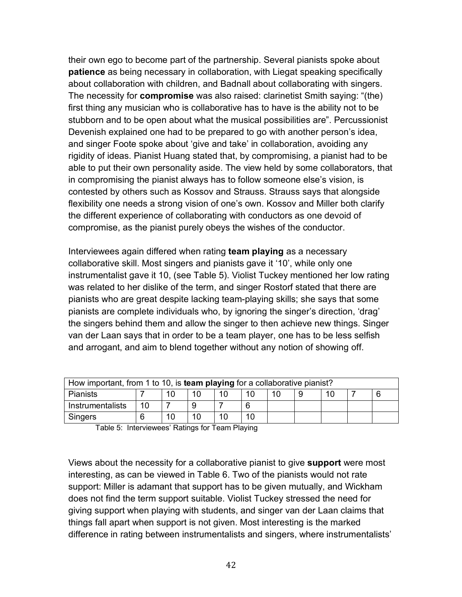their own ego to become part of the partnership. Several pianists spoke about **patience** as being necessary in collaboration, with Liegat speaking specifically about collaboration with children, and Badnall about collaborating with singers. The necessity for **compromise** was also raised: clarinetist Smith saying: "(the) first thing any musician who is collaborative has to have is the ability not to be stubborn and to be open about what the musical possibilities are". Percussionist Devenish explained one had to be prepared to go with another person's idea, and singer Foote spoke about 'give and take' in collaboration, avoiding any rigidity of ideas. Pianist Huang stated that, by compromising, a pianist had to be able to put their own personality aside. The view held by some collaborators, that in compromising the pianist always has to follow someone else's vision, is contested by others such as Kossov and Strauss. Strauss says that alongside flexibility one needs a strong vision of one's own. Kossov and Miller both clarify the different experience of collaborating with conductors as one devoid of compromise, as the pianist purely obeys the wishes of the conductor.

Interviewees again differed when rating **team playing** as a necessary collaborative skill. Most singers and pianists gave it '10', while only one instrumentalist gave it 10, (see Table 5). Violist Tuckey mentioned her low rating was related to her dislike of the term, and singer Rostorf stated that there are pianists who are great despite lacking team-playing skills; she says that some pianists are complete individuals who, by ignoring the singer's direction, 'drag' the singers behind them and allow the singer to then achieve new things. Singer van der Laan says that in order to be a team player, one has to be less selfish and arrogant, and aim to blend together without any notion of showing off.

| How important, from 1 to 10, is <b>team playing</b> for a collaborative pianist? |    |  |  |  |  |  |  |  |  |  |
|----------------------------------------------------------------------------------|----|--|--|--|--|--|--|--|--|--|
| <b>Pianists</b><br>10                                                            |    |  |  |  |  |  |  |  |  |  |
| Instrumentalists                                                                 | 10 |  |  |  |  |  |  |  |  |  |
| Singers                                                                          |    |  |  |  |  |  |  |  |  |  |

Table 5: Interviewees' Ratings for Team Playing

Views about the necessity for a collaborative pianist to give **support** were most interesting, as can be viewed in Table 6. Two of the pianists would not rate support: Miller is adamant that support has to be given mutually, and Wickham does not find the term support suitable. Violist Tuckey stressed the need for giving support when playing with students, and singer van der Laan claims that things fall apart when support is not given. Most interesting is the marked difference in rating between instrumentalists and singers, where instrumentalists'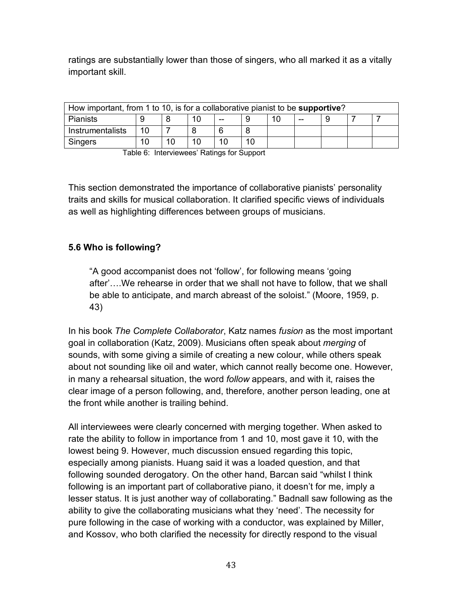ratings are substantially lower than those of singers, who all marked it as a vitally important skill.

| How important, from 1 to 10, is for a collaborative pianist to be supportive? |    |  |  |  |  |  |  |  |  |  |
|-------------------------------------------------------------------------------|----|--|--|--|--|--|--|--|--|--|
| <b>Pianists</b><br>--<br>--                                                   |    |  |  |  |  |  |  |  |  |  |
| Instrumentalists                                                              | 10 |  |  |  |  |  |  |  |  |  |
| <b>Singers</b>                                                                | 10 |  |  |  |  |  |  |  |  |  |

Table 6: Interviewees' Ratings for Support

This section demonstrated the importance of collaborative pianists' personality traits and skills for musical collaboration. It clarified specific views of individuals as well as highlighting differences between groups of musicians.

## **5.6 Who is following?**

"A good accompanist does not 'follow', for following means 'going after'….We rehearse in order that we shall not have to follow, that we shall be able to anticipate, and march abreast of the soloist." (Moore, 1959, p. 43)

In his book *The Complete Collaborator*, Katz names *fusion* as the most important goal in collaboration (Katz, 2009). Musicians often speak about *merging* of sounds, with some giving a simile of creating a new colour, while others speak about not sounding like oil and water, which cannot really become one. However, in many a rehearsal situation, the word *follow* appears, and with it, raises the clear image of a person following, and, therefore, another person leading, one at the front while another is trailing behind.

All interviewees were clearly concerned with merging together. When asked to rate the ability to follow in importance from 1 and 10, most gave it 10, with the lowest being 9. However, much discussion ensued regarding this topic, especially among pianists. Huang said it was a loaded question, and that following sounded derogatory. On the other hand, Barcan said "whilst I think following is an important part of collaborative piano, it doesn't for me, imply a lesser status. It is just another way of collaborating." Badnall saw following as the ability to give the collaborating musicians what they 'need'. The necessity for pure following in the case of working with a conductor, was explained by Miller, and Kossov, who both clarified the necessity for directly respond to the visual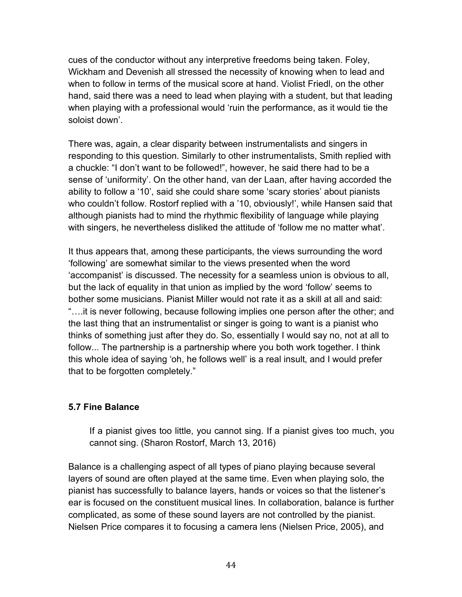cues of the conductor without any interpretive freedoms being taken. Foley, Wickham and Devenish all stressed the necessity of knowing when to lead and when to follow in terms of the musical score at hand. Violist Friedl, on the other hand, said there was a need to lead when playing with a student, but that leading when playing with a professional would 'ruin the performance, as it would tie the soloist down'.

There was, again, a clear disparity between instrumentalists and singers in responding to this question. Similarly to other instrumentalists, Smith replied with a chuckle: "I don't want to be followed!", however, he said there had to be a sense of 'uniformity'. On the other hand, van der Laan, after having accorded the ability to follow a '10', said she could share some 'scary stories' about pianists who couldn't follow. Rostorf replied with a '10, obviously!', while Hansen said that although pianists had to mind the rhythmic flexibility of language while playing with singers, he nevertheless disliked the attitude of 'follow me no matter what'.

It thus appears that, among these participants, the views surrounding the word 'following' are somewhat similar to the views presented when the word 'accompanist' is discussed. The necessity for a seamless union is obvious to all, but the lack of equality in that union as implied by the word 'follow' seems to bother some musicians. Pianist Miller would not rate it as a skill at all and said: "….it is never following, because following implies one person after the other; and the last thing that an instrumentalist or singer is going to want is a pianist who thinks of something just after they do. So, essentially I would say no, not at all to follow... The partnership is a partnership where you both work together. I think this whole idea of saying 'oh, he follows well' is a real insult, and I would prefer that to be forgotten completely."

## **5.7 Fine Balance**

If a pianist gives too little, you cannot sing. If a pianist gives too much, you cannot sing. (Sharon Rostorf, March 13, 2016)

Balance is a challenging aspect of all types of piano playing because several layers of sound are often played at the same time. Even when playing solo, the pianist has successfully to balance layers, hands or voices so that the listener's ear is focused on the constituent musical lines. In collaboration, balance is further complicated, as some of these sound layers are not controlled by the pianist. Nielsen Price compares it to focusing a camera lens (Nielsen Price, 2005), and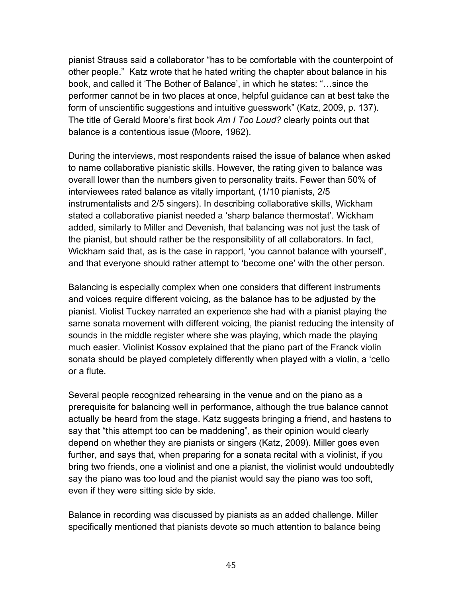pianist Strauss said a collaborator "has to be comfortable with the counterpoint of other people." Katz wrote that he hated writing the chapter about balance in his book, and called it 'The Bother of Balance', in which he states: "…since the performer cannot be in two places at once, helpful guidance can at best take the form of unscientific suggestions and intuitive guesswork" (Katz, 2009, p. 137). The title of Gerald Moore's first book *Am I Too Loud?* clearly points out that balance is a contentious issue (Moore, 1962).

During the interviews, most respondents raised the issue of balance when asked to name collaborative pianistic skills. However, the rating given to balance was overall lower than the numbers given to personality traits. Fewer than 50% of interviewees rated balance as vitally important, (1/10 pianists, 2/5 instrumentalists and 2/5 singers). In describing collaborative skills, Wickham stated a collaborative pianist needed a 'sharp balance thermostat'. Wickham added, similarly to Miller and Devenish, that balancing was not just the task of the pianist, but should rather be the responsibility of all collaborators. In fact, Wickham said that, as is the case in rapport, 'you cannot balance with yourself', and that everyone should rather attempt to 'become one' with the other person.

Balancing is especially complex when one considers that different instruments and voices require different voicing, as the balance has to be adjusted by the pianist. Violist Tuckey narrated an experience she had with a pianist playing the same sonata movement with different voicing, the pianist reducing the intensity of sounds in the middle register where she was playing, which made the playing much easier. Violinist Kossov explained that the piano part of the Franck violin sonata should be played completely differently when played with a violin, a 'cello or a flute.

Several people recognized rehearsing in the venue and on the piano as a prerequisite for balancing well in performance, although the true balance cannot actually be heard from the stage. Katz suggests bringing a friend, and hastens to say that "this attempt too can be maddening", as their opinion would clearly depend on whether they are pianists or singers (Katz, 2009). Miller goes even further, and says that, when preparing for a sonata recital with a violinist, if you bring two friends, one a violinist and one a pianist, the violinist would undoubtedly say the piano was too loud and the pianist would say the piano was too soft, even if they were sitting side by side.

Balance in recording was discussed by pianists as an added challenge. Miller specifically mentioned that pianists devote so much attention to balance being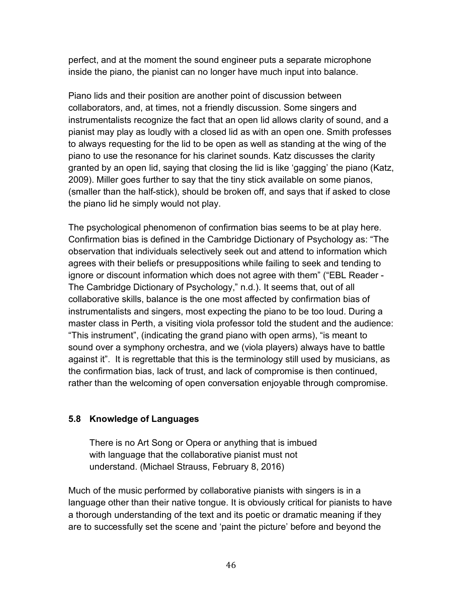perfect, and at the moment the sound engineer puts a separate microphone inside the piano, the pianist can no longer have much input into balance.

Piano lids and their position are another point of discussion between collaborators, and, at times, not a friendly discussion. Some singers and instrumentalists recognize the fact that an open lid allows clarity of sound, and a pianist may play as loudly with a closed lid as with an open one. Smith professes to always requesting for the lid to be open as well as standing at the wing of the piano to use the resonance for his clarinet sounds. Katz discusses the clarity granted by an open lid, saying that closing the lid is like 'gagging' the piano (Katz, 2009). Miller goes further to say that the tiny stick available on some pianos, (smaller than the half-stick), should be broken off, and says that if asked to close the piano lid he simply would not play.

The psychological phenomenon of confirmation bias seems to be at play here. Confirmation bias is defined in the Cambridge Dictionary of Psychology as: "The observation that individuals selectively seek out and attend to information which agrees with their beliefs or presuppositions while failing to seek and tending to ignore or discount information which does not agree with them" ("EBL Reader - The Cambridge Dictionary of Psychology," n.d.). It seems that, out of all collaborative skills, balance is the one most affected by confirmation bias of instrumentalists and singers, most expecting the piano to be too loud. During a master class in Perth, a visiting viola professor told the student and the audience: "This instrument", (indicating the grand piano with open arms), "is meant to sound over a symphony orchestra, and we (viola players) always have to battle against it". It is regrettable that this is the terminology still used by musicians, as the confirmation bias, lack of trust, and lack of compromise is then continued, rather than the welcoming of open conversation enjoyable through compromise.

## **5.8 Knowledge of Languages**

There is no Art Song or Opera or anything that is imbued with language that the collaborative pianist must not understand. (Michael Strauss, February 8, 2016)

Much of the music performed by collaborative pianists with singers is in a language other than their native tongue. It is obviously critical for pianists to have a thorough understanding of the text and its poetic or dramatic meaning if they are to successfully set the scene and 'paint the picture' before and beyond the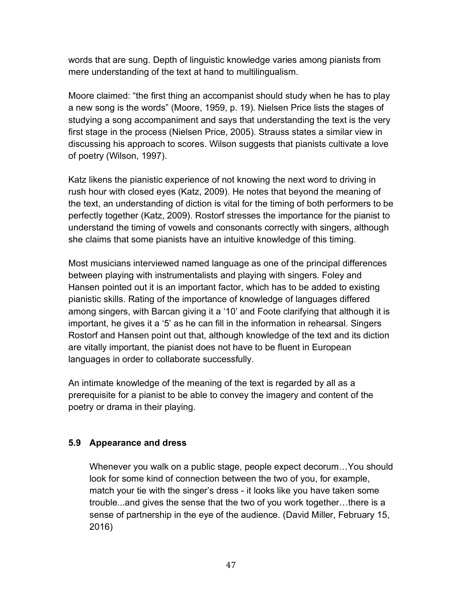words that are sung. Depth of linguistic knowledge varies among pianists from mere understanding of the text at hand to multilingualism.

Moore claimed: "the first thing an accompanist should study when he has to play a new song is the words" (Moore, 1959, p. 19). Nielsen Price lists the stages of studying a song accompaniment and says that understanding the text is the very first stage in the process (Nielsen Price, 2005). Strauss states a similar view in discussing his approach to scores. Wilson suggests that pianists cultivate a love of poetry (Wilson, 1997).

Katz likens the pianistic experience of not knowing the next word to driving in rush hour with closed eyes (Katz, 2009). He notes that beyond the meaning of the text, an understanding of diction is vital for the timing of both performers to be perfectly together (Katz, 2009). Rostorf stresses the importance for the pianist to understand the timing of vowels and consonants correctly with singers, although she claims that some pianists have an intuitive knowledge of this timing.

Most musicians interviewed named language as one of the principal differences between playing with instrumentalists and playing with singers. Foley and Hansen pointed out it is an important factor, which has to be added to existing pianistic skills. Rating of the importance of knowledge of languages differed among singers, with Barcan giving it a '10' and Foote clarifying that although it is important, he gives it a '5' as he can fill in the information in rehearsal. Singers Rostorf and Hansen point out that, although knowledge of the text and its diction are vitally important, the pianist does not have to be fluent in European languages in order to collaborate successfully.

An intimate knowledge of the meaning of the text is regarded by all as a prerequisite for a pianist to be able to convey the imagery and content of the poetry or drama in their playing.

## **5.9 Appearance and dress**

Whenever you walk on a public stage, people expect decorum…You should look for some kind of connection between the two of you, for example, match your tie with the singer's dress - it looks like you have taken some trouble...and gives the sense that the two of you work together…there is a sense of partnership in the eye of the audience. (David Miller, February 15, 2016)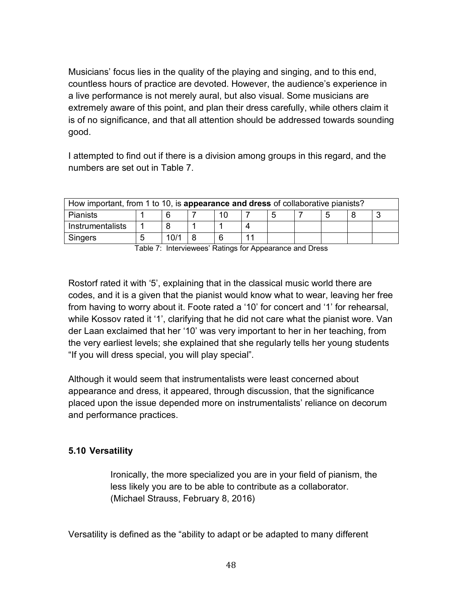Musicians' focus lies in the quality of the playing and singing, and to this end, countless hours of practice are devoted. However, the audience's experience in a live performance is not merely aural, but also visual. Some musicians are extremely aware of this point, and plan their dress carefully, while others claim it is of no significance, and that all attention should be addressed towards sounding good.

I attempted to find out if there is a division among groups in this regard, and the numbers are set out in Table 7.

| How important, from 1 to 10, is appearance and dress of collaborative pianists? |  |      |  |  |  |  |  |  |  |  |
|---------------------------------------------------------------------------------|--|------|--|--|--|--|--|--|--|--|
| <b>Pianists</b><br>հ<br>∽                                                       |  |      |  |  |  |  |  |  |  |  |
| Instrumentalists                                                                |  |      |  |  |  |  |  |  |  |  |
| Singers                                                                         |  | 10/1 |  |  |  |  |  |  |  |  |

Table 7: Interviewees' Ratings for Appearance and Dress

Rostorf rated it with '5', explaining that in the classical music world there are codes, and it is a given that the pianist would know what to wear, leaving her free from having to worry about it. Foote rated a '10' for concert and '1' for rehearsal, while Kossov rated it '1', clarifying that he did not care what the pianist wore. Van der Laan exclaimed that her '10' was very important to her in her teaching, from the very earliest levels; she explained that she regularly tells her young students "If you will dress special, you will play special".

Although it would seem that instrumentalists were least concerned about appearance and dress, it appeared, through discussion, that the significance placed upon the issue depended more on instrumentalists' reliance on decorum and performance practices.

## **5.10 Versatility**

Ironically, the more specialized you are in your field of pianism, the less likely you are to be able to contribute as a collaborator. (Michael Strauss, February 8, 2016)

Versatility is defined as the "ability to adapt or be adapted to many different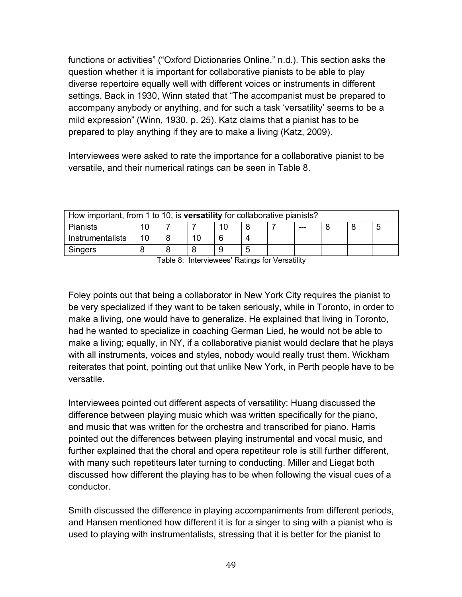functions or activities" ("Oxford Dictionaries Online," n.d.). This section asks the question whether it is important for collaborative pianists to be able to play diverse repertoire equally well with different voices or instruments in different settings. Back in 1930, Winn stated that "The accompanist must be prepared to accompany anybody or anything, and for such a task 'versatility' seems to be a mild expression" (Winn, 1930, p. 25). Katz claims that a pianist has to be prepared to play anything if they are to make a living (Katz, 2009).

Interviewees were asked to rate the importance for a collaborative pianist to be versatile, and their numerical ratings can be seen in Table 8.

| How important, from 1 to 10, is versatility for collaborative pianists? |    |  |  |  |  |  |  |  |  |  |
|-------------------------------------------------------------------------|----|--|--|--|--|--|--|--|--|--|
| Pianists<br>---                                                         |    |  |  |  |  |  |  |  |  |  |
| Instrumentalists                                                        | 10 |  |  |  |  |  |  |  |  |  |
| Singers                                                                 |    |  |  |  |  |  |  |  |  |  |

Table 8: Interviewees' Ratings for Versatility

Foley points out that being a collaborator in New York City requires the pianist to be very specialized if they want to be taken seriously, while in Toronto, in order to make a living, one would have to generalize. He explained that living in Toronto, had he wanted to specialize in coaching German Lied, he would not be able to make a living; equally, in NY, if a collaborative pianist would declare that he plays with all instruments, voices and styles, nobody would really trust them. Wickham reiterates that point, pointing out that unlike New York, in Perth people have to be versatile.

Interviewees pointed out different aspects of versatility: Huang discussed the difference between playing music which was written specifically for the piano, and music that was written for the orchestra and transcribed for piano. Harris pointed out the differences between playing instrumental and vocal music, and further explained that the choral and opera repetiteur role is still further different, with many such repetiteurs later turning to conducting. Miller and Liegat both discussed how different the playing has to be when following the visual cues of a conductor.

Smith discussed the difference in playing accompaniments from different periods, and Hansen mentioned how different it is for a singer to sing with a pianist who is used to playing with instrumentalists, stressing that it is better for the pianist to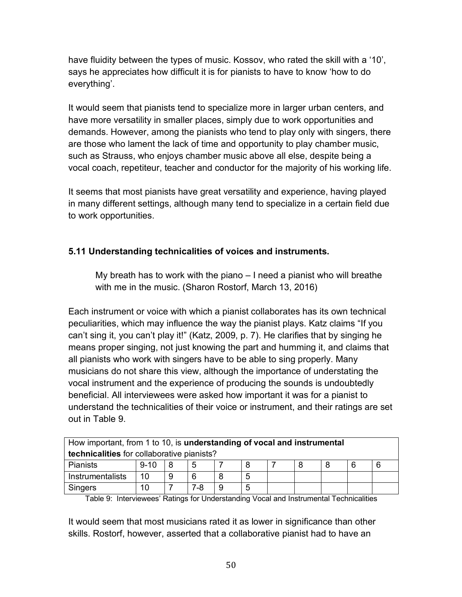have fluidity between the types of music. Kossov, who rated the skill with a '10', says he appreciates how difficult it is for pianists to have to know 'how to do everything'.

It would seem that pianists tend to specialize more in larger urban centers, and have more versatility in smaller places, simply due to work opportunities and demands. However, among the pianists who tend to play only with singers, there are those who lament the lack of time and opportunity to play chamber music, such as Strauss, who enjoys chamber music above all else, despite being a vocal coach, repetiteur, teacher and conductor for the majority of his working life.

It seems that most pianists have great versatility and experience, having played in many different settings, although many tend to specialize in a certain field due to work opportunities.

## **5.11 Understanding technicalities of voices and instruments.**

My breath has to work with the piano – I need a pianist who will breathe with me in the music. (Sharon Rostorf, March 13, 2016)

Each instrument or voice with which a pianist collaborates has its own technical peculiarities, which may influence the way the pianist plays. Katz claims "If you can't sing it, you can't play it!" (Katz, 2009, p. 7). He clarifies that by singing he means proper singing, not just knowing the part and humming it, and claims that all pianists who work with singers have to be able to sing properly. Many musicians do not share this view, although the importance of understating the vocal instrument and the experience of producing the sounds is undoubtedly beneficial. All interviewees were asked how important it was for a pianist to understand the technicalities of their voice or instrument, and their ratings are set out in Table 9.

| How important, from 1 to 10, is understanding of vocal and instrumental |                                   |  |  |  |  |  |  |  |  |  |
|-------------------------------------------------------------------------|-----------------------------------|--|--|--|--|--|--|--|--|--|
| technicalities for collaborative pianists?                              |                                   |  |  |  |  |  |  |  |  |  |
| <b>Pianists</b>                                                         | 5<br>6<br>$9 - 10$<br>8<br>R<br>6 |  |  |  |  |  |  |  |  |  |
| 10<br>6<br>Instrumentalists<br>9<br>-5                                  |                                   |  |  |  |  |  |  |  |  |  |
| 7-8<br>Singers<br>10<br>5<br>9                                          |                                   |  |  |  |  |  |  |  |  |  |

Table 9: Interviewees' Ratings for Understanding Vocal and Instrumental Technicalities

It would seem that most musicians rated it as lower in significance than other skills. Rostorf, however, asserted that a collaborative pianist had to have an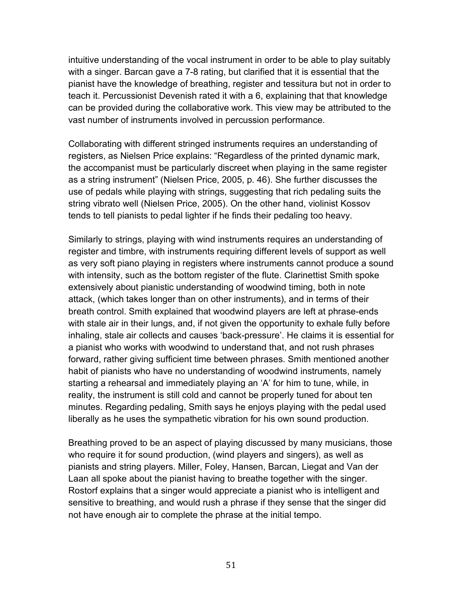intuitive understanding of the vocal instrument in order to be able to play suitably with a singer. Barcan gave a 7-8 rating, but clarified that it is essential that the pianist have the knowledge of breathing, register and tessitura but not in order to teach it. Percussionist Devenish rated it with a 6, explaining that that knowledge can be provided during the collaborative work. This view may be attributed to the vast number of instruments involved in percussion performance.

Collaborating with different stringed instruments requires an understanding of registers, as Nielsen Price explains: "Regardless of the printed dynamic mark, the accompanist must be particularly discreet when playing in the same register as a string instrument" (Nielsen Price, 2005, p. 46). She further discusses the use of pedals while playing with strings, suggesting that rich pedaling suits the string vibrato well (Nielsen Price, 2005). On the other hand, violinist Kossov tends to tell pianists to pedal lighter if he finds their pedaling too heavy.

Similarly to strings, playing with wind instruments requires an understanding of register and timbre, with instruments requiring different levels of support as well as very soft piano playing in registers where instruments cannot produce a sound with intensity, such as the bottom register of the flute. Clarinettist Smith spoke extensively about pianistic understanding of woodwind timing, both in note attack, (which takes longer than on other instruments), and in terms of their breath control. Smith explained that woodwind players are left at phrase-ends with stale air in their lungs, and, if not given the opportunity to exhale fully before inhaling, stale air collects and causes 'back-pressure'. He claims it is essential for a pianist who works with woodwind to understand that, and not rush phrases forward, rather giving sufficient time between phrases. Smith mentioned another habit of pianists who have no understanding of woodwind instruments, namely starting a rehearsal and immediately playing an 'A' for him to tune, while, in reality, the instrument is still cold and cannot be properly tuned for about ten minutes. Regarding pedaling, Smith says he enjoys playing with the pedal used liberally as he uses the sympathetic vibration for his own sound production.

Breathing proved to be an aspect of playing discussed by many musicians, those who require it for sound production, (wind players and singers), as well as pianists and string players. Miller, Foley, Hansen, Barcan, Liegat and Van der Laan all spoke about the pianist having to breathe together with the singer. Rostorf explains that a singer would appreciate a pianist who is intelligent and sensitive to breathing, and would rush a phrase if they sense that the singer did not have enough air to complete the phrase at the initial tempo.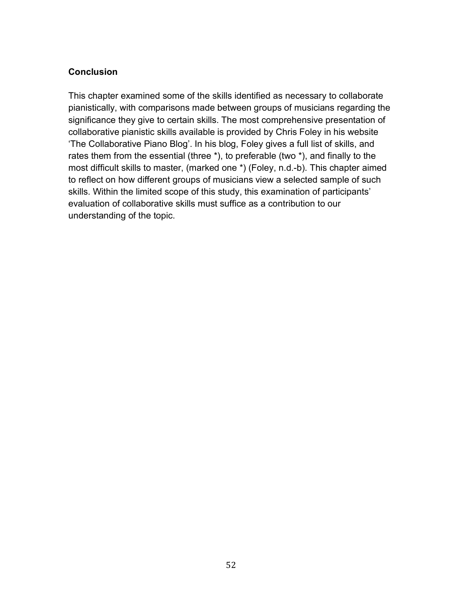#### **Conclusion**

This chapter examined some of the skills identified as necessary to collaborate pianistically, with comparisons made between groups of musicians regarding the significance they give to certain skills. The most comprehensive presentation of collaborative pianistic skills available is provided by Chris Foley in his website 'The Collaborative Piano Blog'. In his blog, Foley gives a full list of skills, and rates them from the essential (three \*), to preferable (two \*), and finally to the most difficult skills to master, (marked one \*) (Foley, n.d.-b). This chapter aimed to reflect on how different groups of musicians view a selected sample of such skills. Within the limited scope of this study, this examination of participants' evaluation of collaborative skills must suffice as a contribution to our understanding of the topic.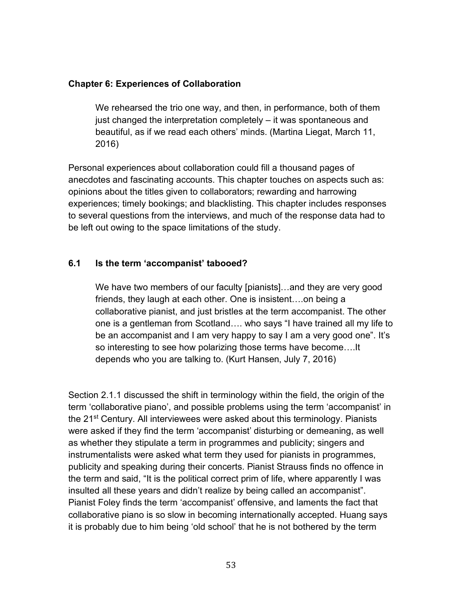#### **Chapter 6: Experiences of Collaboration**

We rehearsed the trio one way, and then, in performance, both of them just changed the interpretation completely – it was spontaneous and beautiful, as if we read each others' minds. (Martina Liegat, March 11, 2016)

Personal experiences about collaboration could fill a thousand pages of anecdotes and fascinating accounts. This chapter touches on aspects such as: opinions about the titles given to collaborators; rewarding and harrowing experiences; timely bookings; and blacklisting. This chapter includes responses to several questions from the interviews, and much of the response data had to be left out owing to the space limitations of the study.

#### **6.1 Is the term 'accompanist' tabooed?**

We have two members of our faculty [pianists]…and they are very good friends, they laugh at each other. One is insistent….on being a collaborative pianist, and just bristles at the term accompanist. The other one is a gentleman from Scotland…. who says "I have trained all my life to be an accompanist and I am very happy to say I am a very good one". It's so interesting to see how polarizing those terms have become….It depends who you are talking to. (Kurt Hansen, July 7, 2016)

Section 2.1.1 discussed the shift in terminology within the field, the origin of the term 'collaborative piano', and possible problems using the term 'accompanist' in the 21st Century. All interviewees were asked about this terminology. Pianists were asked if they find the term 'accompanist' disturbing or demeaning, as well as whether they stipulate a term in programmes and publicity; singers and instrumentalists were asked what term they used for pianists in programmes, publicity and speaking during their concerts. Pianist Strauss finds no offence in the term and said, "It is the political correct prim of life, where apparently I was insulted all these years and didn't realize by being called an accompanist". Pianist Foley finds the term 'accompanist' offensive, and laments the fact that collaborative piano is so slow in becoming internationally accepted. Huang says it is probably due to him being 'old school' that he is not bothered by the term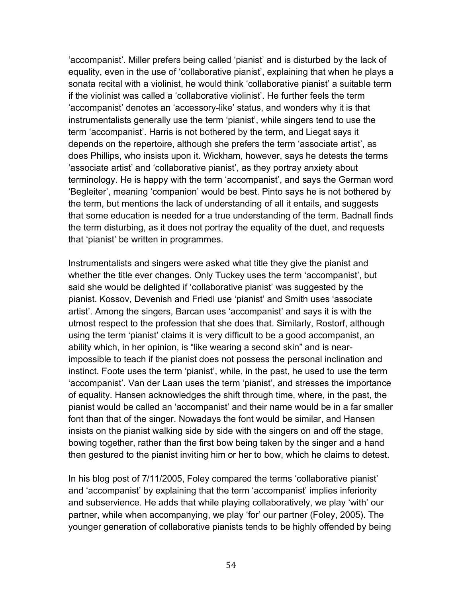'accompanist'. Miller prefers being called 'pianist' and is disturbed by the lack of equality, even in the use of 'collaborative pianist', explaining that when he plays a sonata recital with a violinist, he would think 'collaborative pianist' a suitable term if the violinist was called a 'collaborative violinist'. He further feels the term 'accompanist' denotes an 'accessory-like' status, and wonders why it is that instrumentalists generally use the term 'pianist', while singers tend to use the term 'accompanist'. Harris is not bothered by the term, and Liegat says it depends on the repertoire, although she prefers the term 'associate artist', as does Phillips, who insists upon it. Wickham, however, says he detests the terms 'associate artist' and 'collaborative pianist', as they portray anxiety about terminology. He is happy with the term 'accompanist', and says the German word 'Begleiter', meaning 'companion' would be best. Pinto says he is not bothered by the term, but mentions the lack of understanding of all it entails, and suggests that some education is needed for a true understanding of the term. Badnall finds the term disturbing, as it does not portray the equality of the duet, and requests that 'pianist' be written in programmes.

Instrumentalists and singers were asked what title they give the pianist and whether the title ever changes. Only Tuckey uses the term 'accompanist', but said she would be delighted if 'collaborative pianist' was suggested by the pianist. Kossov, Devenish and Friedl use 'pianist' and Smith uses 'associate artist'. Among the singers, Barcan uses 'accompanist' and says it is with the utmost respect to the profession that she does that. Similarly, Rostorf, although using the term 'pianist' claims it is very difficult to be a good accompanist, an ability which, in her opinion, is "like wearing a second skin" and is nearimpossible to teach if the pianist does not possess the personal inclination and instinct. Foote uses the term 'pianist', while, in the past, he used to use the term 'accompanist'. Van der Laan uses the term 'pianist', and stresses the importance of equality. Hansen acknowledges the shift through time, where, in the past, the pianist would be called an 'accompanist' and their name would be in a far smaller font than that of the singer. Nowadays the font would be similar, and Hansen insists on the pianist walking side by side with the singers on and off the stage, bowing together, rather than the first bow being taken by the singer and a hand then gestured to the pianist inviting him or her to bow, which he claims to detest.

In his blog post of 7/11/2005, Foley compared the terms 'collaborative pianist' and 'accompanist' by explaining that the term 'accompanist' implies inferiority and subservience. He adds that while playing collaboratively, we play 'with' our partner, while when accompanying, we play 'for' our partner (Foley, 2005). The younger generation of collaborative pianists tends to be highly offended by being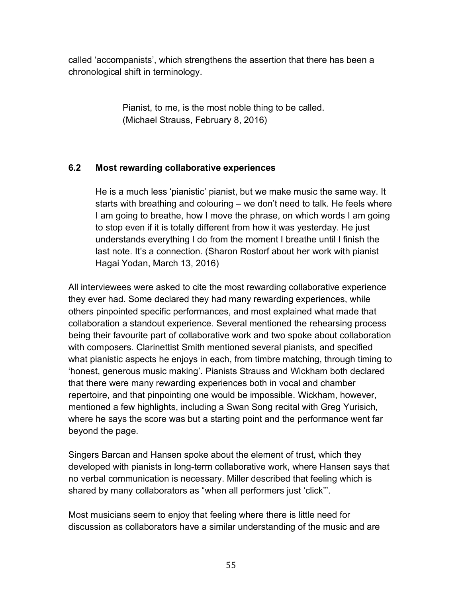called 'accompanists', which strengthens the assertion that there has been a chronological shift in terminology.

> Pianist, to me, is the most noble thing to be called. (Michael Strauss, February 8, 2016)

## **6.2 Most rewarding collaborative experiences**

He is a much less 'pianistic' pianist, but we make music the same way. It starts with breathing and colouring – we don't need to talk. He feels where I am going to breathe, how I move the phrase, on which words I am going to stop even if it is totally different from how it was yesterday. He just understands everything I do from the moment I breathe until I finish the last note. It's a connection. (Sharon Rostorf about her work with pianist Hagai Yodan, March 13, 2016)

All interviewees were asked to cite the most rewarding collaborative experience they ever had. Some declared they had many rewarding experiences, while others pinpointed specific performances, and most explained what made that collaboration a standout experience. Several mentioned the rehearsing process being their favourite part of collaborative work and two spoke about collaboration with composers. Clarinettist Smith mentioned several pianists, and specified what pianistic aspects he enjoys in each, from timbre matching, through timing to 'honest, generous music making'. Pianists Strauss and Wickham both declared that there were many rewarding experiences both in vocal and chamber repertoire, and that pinpointing one would be impossible. Wickham, however, mentioned a few highlights, including a Swan Song recital with Greg Yurisich, where he says the score was but a starting point and the performance went far beyond the page.

Singers Barcan and Hansen spoke about the element of trust, which they developed with pianists in long-term collaborative work, where Hansen says that no verbal communication is necessary. Miller described that feeling which is shared by many collaborators as "when all performers just 'click'".

Most musicians seem to enjoy that feeling where there is little need for discussion as collaborators have a similar understanding of the music and are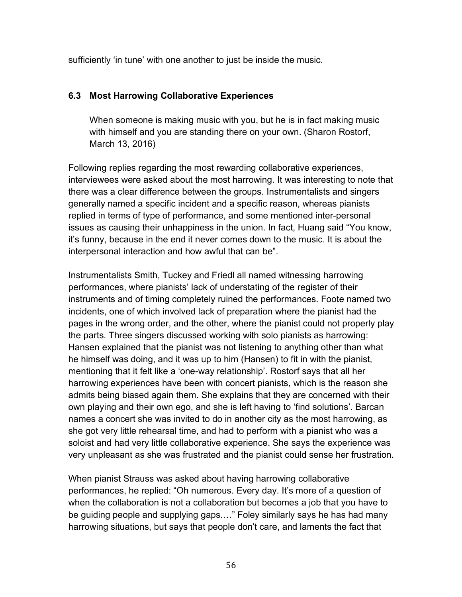sufficiently 'in tune' with one another to just be inside the music.

## **6.3 Most Harrowing Collaborative Experiences**

When someone is making music with you, but he is in fact making music with himself and you are standing there on your own. (Sharon Rostorf, March 13, 2016)

Following replies regarding the most rewarding collaborative experiences, interviewees were asked about the most harrowing. It was interesting to note that there was a clear difference between the groups. Instrumentalists and singers generally named a specific incident and a specific reason, whereas pianists replied in terms of type of performance, and some mentioned inter-personal issues as causing their unhappiness in the union. In fact, Huang said "You know, it's funny, because in the end it never comes down to the music. It is about the interpersonal interaction and how awful that can be".

Instrumentalists Smith, Tuckey and Friedl all named witnessing harrowing performances, where pianists' lack of understating of the register of their instruments and of timing completely ruined the performances. Foote named two incidents, one of which involved lack of preparation where the pianist had the pages in the wrong order, and the other, where the pianist could not properly play the parts. Three singers discussed working with solo pianists as harrowing: Hansen explained that the pianist was not listening to anything other than what he himself was doing, and it was up to him (Hansen) to fit in with the pianist, mentioning that it felt like a 'one-way relationship'. Rostorf says that all her harrowing experiences have been with concert pianists, which is the reason she admits being biased again them. She explains that they are concerned with their own playing and their own ego, and she is left having to 'find solutions'. Barcan names a concert she was invited to do in another city as the most harrowing, as she got very little rehearsal time, and had to perform with a pianist who was a soloist and had very little collaborative experience. She says the experience was very unpleasant as she was frustrated and the pianist could sense her frustration.

When pianist Strauss was asked about having harrowing collaborative performances, he replied: "Oh numerous. Every day. It's more of a question of when the collaboration is not a collaboration but becomes a job that you have to be guiding people and supplying gaps.…" Foley similarly says he has had many harrowing situations, but says that people don't care, and laments the fact that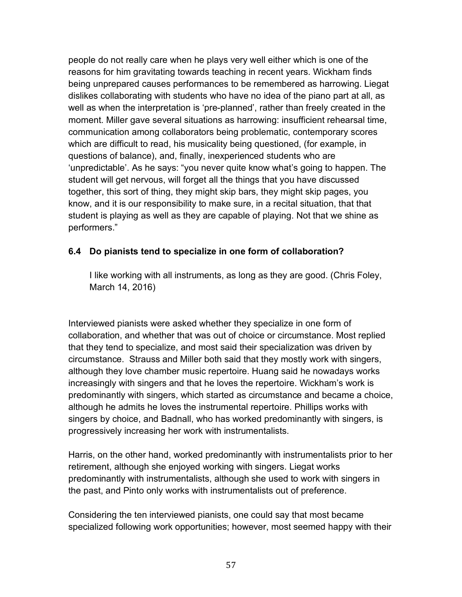people do not really care when he plays very well either which is one of the reasons for him gravitating towards teaching in recent years. Wickham finds being unprepared causes performances to be remembered as harrowing. Liegat dislikes collaborating with students who have no idea of the piano part at all, as well as when the interpretation is 'pre-planned', rather than freely created in the moment. Miller gave several situations as harrowing: insufficient rehearsal time, communication among collaborators being problematic, contemporary scores which are difficult to read, his musicality being questioned, (for example, in questions of balance), and, finally, inexperienced students who are 'unpredictable'. As he says: "you never quite know what's going to happen. The student will get nervous, will forget all the things that you have discussed together, this sort of thing, they might skip bars, they might skip pages, you know, and it is our responsibility to make sure, in a recital situation, that that student is playing as well as they are capable of playing. Not that we shine as performers."

#### **6.4 Do pianists tend to specialize in one form of collaboration?**

I like working with all instruments, as long as they are good. (Chris Foley, March 14, 2016)

Interviewed pianists were asked whether they specialize in one form of collaboration, and whether that was out of choice or circumstance. Most replied that they tend to specialize, and most said their specialization was driven by circumstance. Strauss and Miller both said that they mostly work with singers, although they love chamber music repertoire. Huang said he nowadays works increasingly with singers and that he loves the repertoire. Wickham's work is predominantly with singers, which started as circumstance and became a choice, although he admits he loves the instrumental repertoire. Phillips works with singers by choice, and Badnall, who has worked predominantly with singers, is progressively increasing her work with instrumentalists.

Harris, on the other hand, worked predominantly with instrumentalists prior to her retirement, although she enjoyed working with singers. Liegat works predominantly with instrumentalists, although she used to work with singers in the past, and Pinto only works with instrumentalists out of preference.

Considering the ten interviewed pianists, one could say that most became specialized following work opportunities; however, most seemed happy with their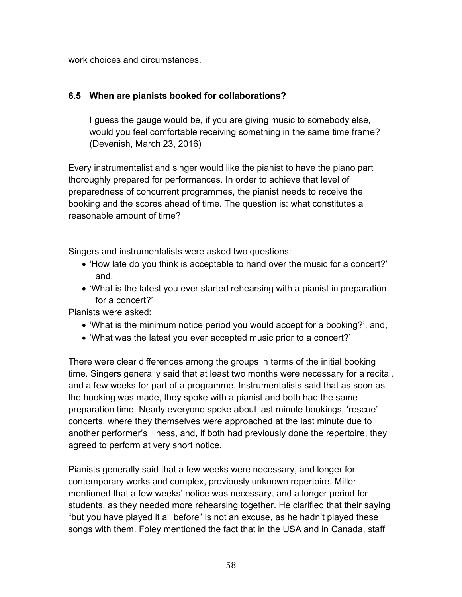work choices and circumstances.

### **6.5 When are pianists booked for collaborations?**

I guess the gauge would be, if you are giving music to somebody else, would you feel comfortable receiving something in the same time frame? (Devenish, March 23, 2016)

Every instrumentalist and singer would like the pianist to have the piano part thoroughly prepared for performances. In order to achieve that level of preparedness of concurrent programmes, the pianist needs to receive the booking and the scores ahead of time. The question is: what constitutes a reasonable amount of time?

Singers and instrumentalists were asked two questions:

- 'How late do you think is acceptable to hand over the music for a concert?' and,
- 'What is the latest you ever started rehearsing with a pianist in preparation for a concert?'

Pianists were asked:

- 'What is the minimum notice period you would accept for a booking?', and,
- 'What was the latest you ever accepted music prior to a concert?'

There were clear differences among the groups in terms of the initial booking time. Singers generally said that at least two months were necessary for a recital, and a few weeks for part of a programme. Instrumentalists said that as soon as the booking was made, they spoke with a pianist and both had the same preparation time. Nearly everyone spoke about last minute bookings, 'rescue' concerts, where they themselves were approached at the last minute due to another performer's illness, and, if both had previously done the repertoire, they agreed to perform at very short notice.

Pianists generally said that a few weeks were necessary, and longer for contemporary works and complex, previously unknown repertoire. Miller mentioned that a few weeks' notice was necessary, and a longer period for students, as they needed more rehearsing together. He clarified that their saying "but you have played it all before" is not an excuse, as he hadn't played these songs with them. Foley mentioned the fact that in the USA and in Canada, staff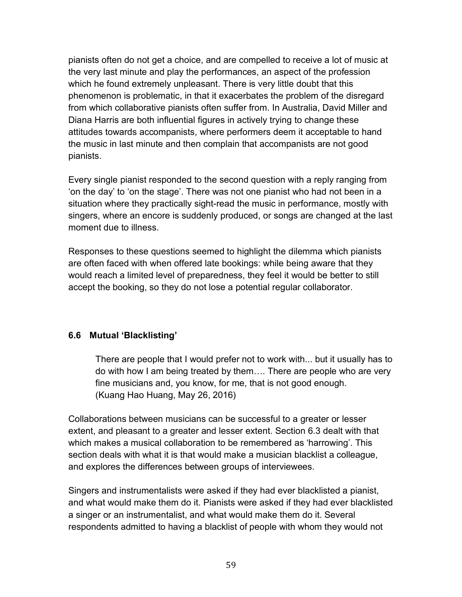pianists often do not get a choice, and are compelled to receive a lot of music at the very last minute and play the performances, an aspect of the profession which he found extremely unpleasant. There is very little doubt that this phenomenon is problematic, in that it exacerbates the problem of the disregard from which collaborative pianists often suffer from. In Australia, David Miller and Diana Harris are both influential figures in actively trying to change these attitudes towards accompanists, where performers deem it acceptable to hand the music in last minute and then complain that accompanists are not good pianists.

Every single pianist responded to the second question with a reply ranging from 'on the day' to 'on the stage'. There was not one pianist who had not been in a situation where they practically sight-read the music in performance, mostly with singers, where an encore is suddenly produced, or songs are changed at the last moment due to illness.

Responses to these questions seemed to highlight the dilemma which pianists are often faced with when offered late bookings: while being aware that they would reach a limited level of preparedness, they feel it would be better to still accept the booking, so they do not lose a potential regular collaborator.

## **6.6 Mutual 'Blacklisting'**

There are people that I would prefer not to work with... but it usually has to do with how I am being treated by them…. There are people who are very fine musicians and, you know, for me, that is not good enough. (Kuang Hao Huang, May 26, 2016)

Collaborations between musicians can be successful to a greater or lesser extent, and pleasant to a greater and lesser extent. Section 6.3 dealt with that which makes a musical collaboration to be remembered as 'harrowing'. This section deals with what it is that would make a musician blacklist a colleague, and explores the differences between groups of interviewees.

Singers and instrumentalists were asked if they had ever blacklisted a pianist, and what would make them do it. Pianists were asked if they had ever blacklisted a singer or an instrumentalist, and what would make them do it. Several respondents admitted to having a blacklist of people with whom they would not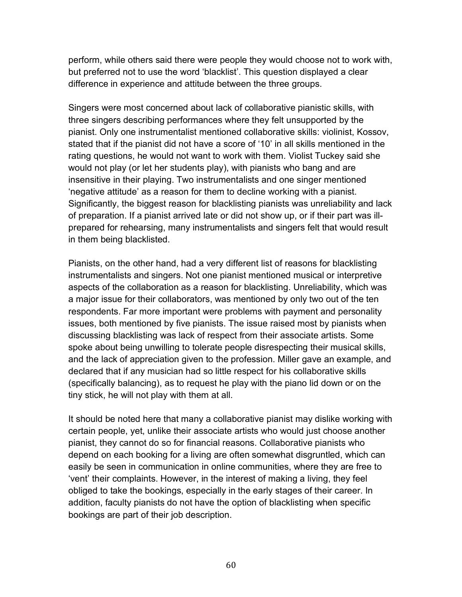perform, while others said there were people they would choose not to work with, but preferred not to use the word 'blacklist'. This question displayed a clear difference in experience and attitude between the three groups.

Singers were most concerned about lack of collaborative pianistic skills, with three singers describing performances where they felt unsupported by the pianist. Only one instrumentalist mentioned collaborative skills: violinist, Kossov, stated that if the pianist did not have a score of '10' in all skills mentioned in the rating questions, he would not want to work with them. Violist Tuckey said she would not play (or let her students play), with pianists who bang and are insensitive in their playing. Two instrumentalists and one singer mentioned 'negative attitude' as a reason for them to decline working with a pianist. Significantly, the biggest reason for blacklisting pianists was unreliability and lack of preparation. If a pianist arrived late or did not show up, or if their part was illprepared for rehearsing, many instrumentalists and singers felt that would result in them being blacklisted.

Pianists, on the other hand, had a very different list of reasons for blacklisting instrumentalists and singers. Not one pianist mentioned musical or interpretive aspects of the collaboration as a reason for blacklisting. Unreliability, which was a major issue for their collaborators, was mentioned by only two out of the ten respondents. Far more important were problems with payment and personality issues, both mentioned by five pianists. The issue raised most by pianists when discussing blacklisting was lack of respect from their associate artists. Some spoke about being unwilling to tolerate people disrespecting their musical skills, and the lack of appreciation given to the profession. Miller gave an example, and declared that if any musician had so little respect for his collaborative skills (specifically balancing), as to request he play with the piano lid down or on the tiny stick, he will not play with them at all.

It should be noted here that many a collaborative pianist may dislike working with certain people, yet, unlike their associate artists who would just choose another pianist, they cannot do so for financial reasons. Collaborative pianists who depend on each booking for a living are often somewhat disgruntled, which can easily be seen in communication in online communities, where they are free to 'vent' their complaints. However, in the interest of making a living, they feel obliged to take the bookings, especially in the early stages of their career. In addition, faculty pianists do not have the option of blacklisting when specific bookings are part of their job description.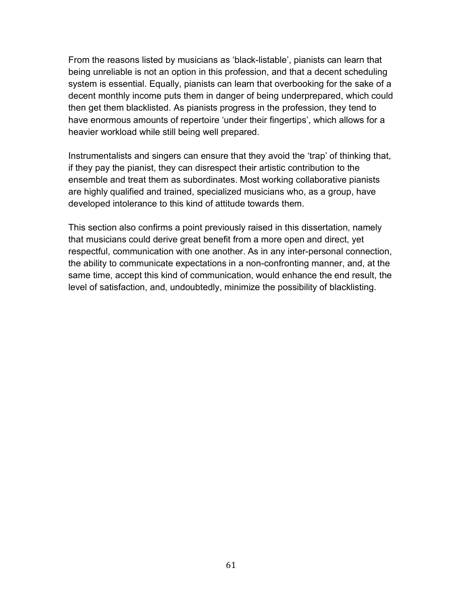From the reasons listed by musicians as 'black-listable', pianists can learn that being unreliable is not an option in this profession, and that a decent scheduling system is essential. Equally, pianists can learn that overbooking for the sake of a decent monthly income puts them in danger of being underprepared, which could then get them blacklisted. As pianists progress in the profession, they tend to have enormous amounts of repertoire 'under their fingertips', which allows for a heavier workload while still being well prepared.

Instrumentalists and singers can ensure that they avoid the 'trap' of thinking that, if they pay the pianist, they can disrespect their artistic contribution to the ensemble and treat them as subordinates. Most working collaborative pianists are highly qualified and trained, specialized musicians who, as a group, have developed intolerance to this kind of attitude towards them.

This section also confirms a point previously raised in this dissertation, namely that musicians could derive great benefit from a more open and direct, yet respectful, communication with one another. As in any inter-personal connection, the ability to communicate expectations in a non-confronting manner, and, at the same time, accept this kind of communication, would enhance the end result, the level of satisfaction, and, undoubtedly, minimize the possibility of blacklisting.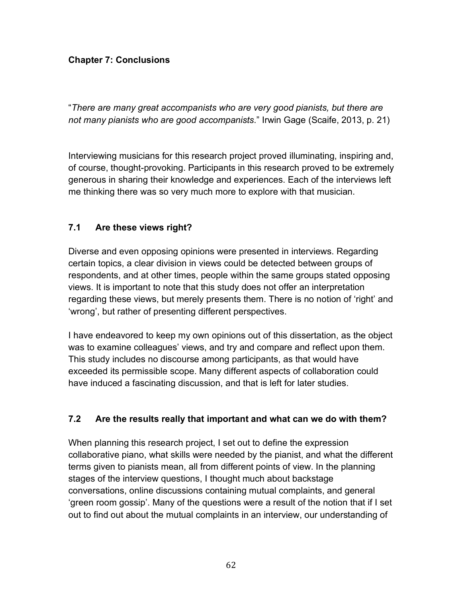## **Chapter 7: Conclusions**

"*There are many great accompanists who are very good pianists, but there are not many pianists who are good accompanists*." Irwin Gage (Scaife, 2013, p. 21)

Interviewing musicians for this research project proved illuminating, inspiring and, of course, thought-provoking. Participants in this research proved to be extremely generous in sharing their knowledge and experiences. Each of the interviews left me thinking there was so very much more to explore with that musician.

## **7.1 Are these views right?**

Diverse and even opposing opinions were presented in interviews. Regarding certain topics, a clear division in views could be detected between groups of respondents, and at other times, people within the same groups stated opposing views. It is important to note that this study does not offer an interpretation regarding these views, but merely presents them. There is no notion of 'right' and 'wrong', but rather of presenting different perspectives.

I have endeavored to keep my own opinions out of this dissertation, as the object was to examine colleagues' views, and try and compare and reflect upon them. This study includes no discourse among participants, as that would have exceeded its permissible scope. Many different aspects of collaboration could have induced a fascinating discussion, and that is left for later studies.

## **7.2 Are the results really that important and what can we do with them?**

When planning this research project, I set out to define the expression collaborative piano, what skills were needed by the pianist, and what the different terms given to pianists mean, all from different points of view. In the planning stages of the interview questions, I thought much about backstage conversations, online discussions containing mutual complaints, and general 'green room gossip'. Many of the questions were a result of the notion that if I set out to find out about the mutual complaints in an interview, our understanding of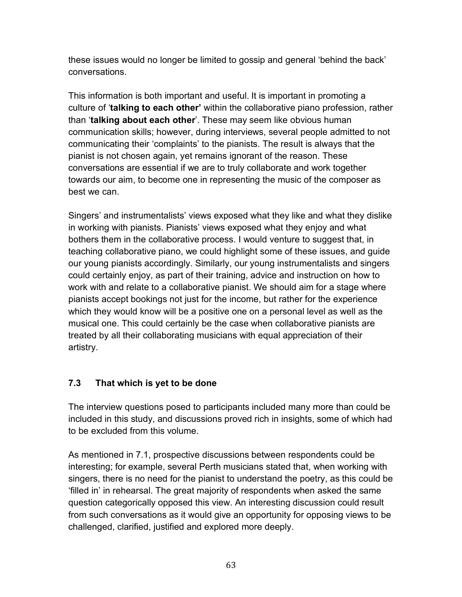these issues would no longer be limited to gossip and general 'behind the back' conversations.

This information is both important and useful. It is important in promoting a culture of '**talking to each other'** within the collaborative piano profession, rather than '**talking about each other**'. These may seem like obvious human communication skills; however, during interviews, several people admitted to not communicating their 'complaints' to the pianists. The result is always that the pianist is not chosen again, yet remains ignorant of the reason. These conversations are essential if we are to truly collaborate and work together towards our aim, to become one in representing the music of the composer as best we can.

Singers' and instrumentalists' views exposed what they like and what they dislike in working with pianists. Pianists' views exposed what they enjoy and what bothers them in the collaborative process. I would venture to suggest that, in teaching collaborative piano, we could highlight some of these issues, and guide our young pianists accordingly. Similarly, our young instrumentalists and singers could certainly enjoy, as part of their training, advice and instruction on how to work with and relate to a collaborative pianist. We should aim for a stage where pianists accept bookings not just for the income, but rather for the experience which they would know will be a positive one on a personal level as well as the musical one. This could certainly be the case when collaborative pianists are treated by all their collaborating musicians with equal appreciation of their artistry.

# **7.3 That which is yet to be done**

The interview questions posed to participants included many more than could be included in this study, and discussions proved rich in insights, some of which had to be excluded from this volume.

As mentioned in 7.1, prospective discussions between respondents could be interesting; for example, several Perth musicians stated that, when working with singers, there is no need for the pianist to understand the poetry, as this could be 'filled in' in rehearsal. The great majority of respondents when asked the same question categorically opposed this view. An interesting discussion could result from such conversations as it would give an opportunity for opposing views to be challenged, clarified, justified and explored more deeply.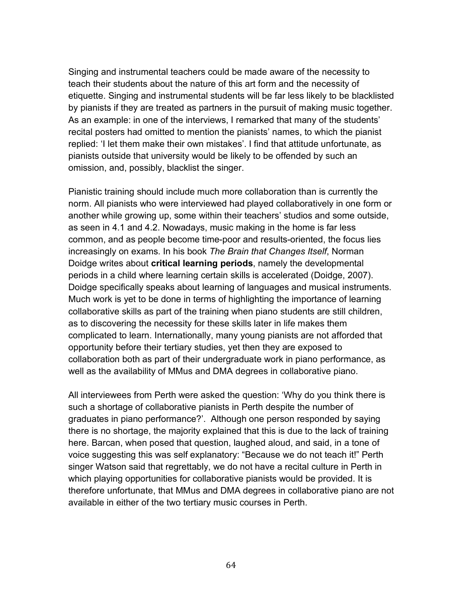Singing and instrumental teachers could be made aware of the necessity to teach their students about the nature of this art form and the necessity of etiquette. Singing and instrumental students will be far less likely to be blacklisted by pianists if they are treated as partners in the pursuit of making music together. As an example: in one of the interviews, I remarked that many of the students' recital posters had omitted to mention the pianists' names, to which the pianist replied: 'I let them make their own mistakes'. I find that attitude unfortunate, as pianists outside that university would be likely to be offended by such an omission, and, possibly, blacklist the singer.

Pianistic training should include much more collaboration than is currently the norm. All pianists who were interviewed had played collaboratively in one form or another while growing up, some within their teachers' studios and some outside, as seen in 4.1 and 4.2. Nowadays, music making in the home is far less common, and as people become time-poor and results-oriented, the focus lies increasingly on exams. In his book *The Brain that Changes Itself*, Norman Doidge writes about **critical learning periods**, namely the developmental periods in a child where learning certain skills is accelerated (Doidge, 2007). Doidge specifically speaks about learning of languages and musical instruments. Much work is yet to be done in terms of highlighting the importance of learning collaborative skills as part of the training when piano students are still children, as to discovering the necessity for these skills later in life makes them complicated to learn. Internationally, many young pianists are not afforded that opportunity before their tertiary studies, yet then they are exposed to collaboration both as part of their undergraduate work in piano performance, as well as the availability of MMus and DMA degrees in collaborative piano.

All interviewees from Perth were asked the question: 'Why do you think there is such a shortage of collaborative pianists in Perth despite the number of graduates in piano performance?'. Although one person responded by saying there is no shortage, the majority explained that this is due to the lack of training here. Barcan, when posed that question, laughed aloud, and said, in a tone of voice suggesting this was self explanatory: "Because we do not teach it!" Perth singer Watson said that regrettably, we do not have a recital culture in Perth in which playing opportunities for collaborative pianists would be provided. It is therefore unfortunate, that MMus and DMA degrees in collaborative piano are not available in either of the two tertiary music courses in Perth.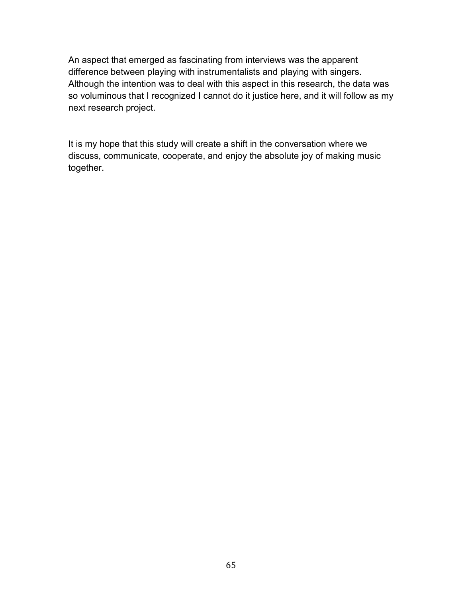An aspect that emerged as fascinating from interviews was the apparent difference between playing with instrumentalists and playing with singers. Although the intention was to deal with this aspect in this research, the data was so voluminous that I recognized I cannot do it justice here, and it will follow as my next research project.

It is my hope that this study will create a shift in the conversation where we discuss, communicate, cooperate, and enjoy the absolute joy of making music together.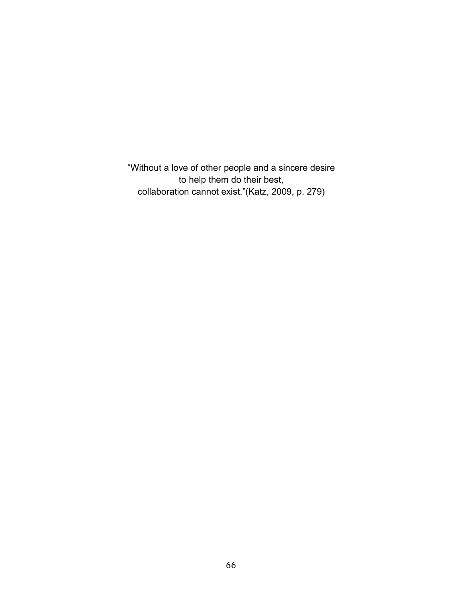"Without a love of other people and a sincere desire to help them do their best, collaboration cannot exist."(Katz, 2009, p. 279)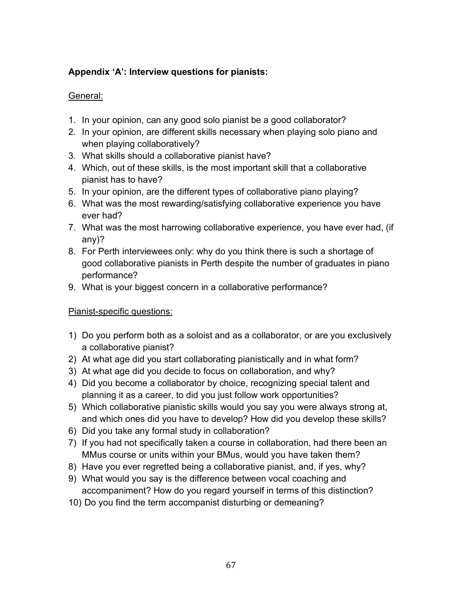# **Appendix 'A': Interview questions for pianists:**

# General:

- 1. In your opinion, can any good solo pianist be a good collaborator?
- 2. In your opinion, are different skills necessary when playing solo piano and when playing collaboratively?
- 3. What skills should a collaborative pianist have?
- 4. Which, out of these skills, is the most important skill that a collaborative pianist has to have?
- 5. In your opinion, are the different types of collaborative piano playing?
- 6. What was the most rewarding/satisfying collaborative experience you have ever had?
- 7. What was the most harrowing collaborative experience, you have ever had, (if any)?
- 8. For Perth interviewees only: why do you think there is such a shortage of good collaborative pianists in Perth despite the number of graduates in piano performance?
- 9. What is your biggest concern in a collaborative performance?

# Pianist-specific questions:

- 1) Do you perform both as a soloist and as a collaborator, or are you exclusively a collaborative pianist?
- 2) At what age did you start collaborating pianistically and in what form?
- 3) At what age did you decide to focus on collaboration, and why?
- 4) Did you become a collaborator by choice, recognizing special talent and planning it as a career, to did you just follow work opportunities?
- 5) Which collaborative pianistic skills would you say you were always strong at, and which ones did you have to develop? How did you develop these skills?
- 6) Did you take any formal study in collaboration?
- 7) If you had not specifically taken a course in collaboration, had there been an MMus course or units within your BMus, would you have taken them?
- 8) Have you ever regretted being a collaborative pianist, and, if yes, why?
- 9) What would you say is the difference between vocal coaching and accompaniment? How do you regard yourself in terms of this distinction?
- 10) Do you find the term accompanist disturbing or demeaning?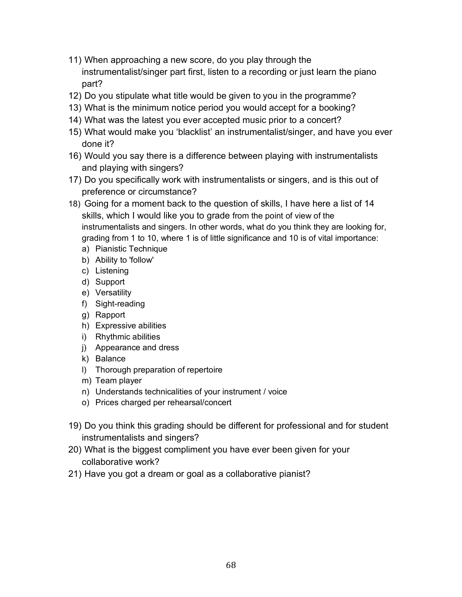- 11) When approaching a new score, do you play through the instrumentalist/singer part first, listen to a recording or just learn the piano part?
- 12) Do you stipulate what title would be given to you in the programme?
- 13) What is the minimum notice period you would accept for a booking?
- 14) What was the latest you ever accepted music prior to a concert?
- 15) What would make you 'blacklist' an instrumentalist/singer, and have you ever done it?
- 16) Would you say there is a difference between playing with instrumentalists and playing with singers?
- 17) Do you specifically work with instrumentalists or singers, and is this out of preference or circumstance?
- 18) Going for a moment back to the question of skills, I have here a list of 14 skills, which I would like you to grade from the point of view of the instrumentalists and singers. In other words, what do you think they are looking for, grading from 1 to 10, where 1 is of little significance and 10 is of vital importance:
	- a) Pianistic Technique
	- b) Ability to 'follow'
	- c) Listening
	- d) Support
	- e) Versatility
	- f) Sight-reading
	- g) Rapport
	- h) Expressive abilities
	- i) Rhythmic abilities
	- j) Appearance and dress
	- k) Balance
	- l) Thorough preparation of repertoire
	- m) Team player
	- n) Understands technicalities of your instrument / voice
	- o) Prices charged per rehearsal/concert
- 19) Do you think this grading should be different for professional and for student instrumentalists and singers?
- 20) What is the biggest compliment you have ever been given for your collaborative work?
- 21) Have you got a dream or goal as a collaborative pianist?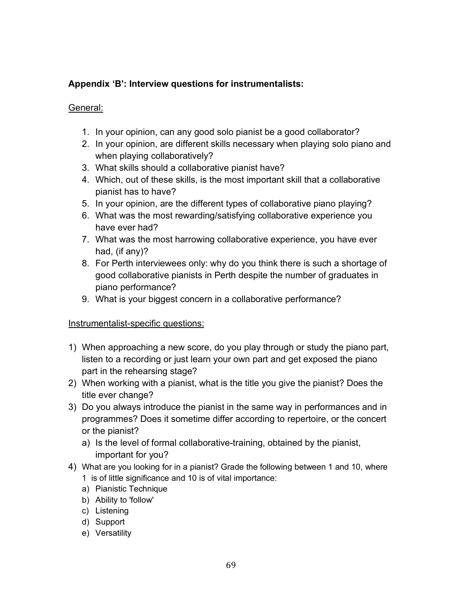# **Appendix 'B': Interview questions for instrumentalists:**

#### General:

- 1. In your opinion, can any good solo pianist be a good collaborator?
- 2. In your opinion, are different skills necessary when playing solo piano and when playing collaboratively?
- 3. What skills should a collaborative pianist have?
- 4. Which, out of these skills, is the most important skill that a collaborative pianist has to have?
- 5. In your opinion, are the different types of collaborative piano playing?
- 6. What was the most rewarding/satisfying collaborative experience you have ever had?
- 7. What was the most harrowing collaborative experience, you have ever had, (if any)?
- 8. For Perth interviewees only: why do you think there is such a shortage of good collaborative pianists in Perth despite the number of graduates in piano performance?
- 9. What is your biggest concern in a collaborative performance?

#### Instrumentalist-specific questions:

- 1) When approaching a new score, do you play through or study the piano part, listen to a recording or just learn your own part and get exposed the piano part in the rehearsing stage?
- 2) When working with a pianist, what is the title you give the pianist? Does the title ever change?
- 3) Do you always introduce the pianist in the same way in performances and in programmes? Does it sometime differ according to repertoire, or the concert or the pianist?
	- a) Is the level of formal collaborative-training, obtained by the pianist, important for you?
- 4) What are you looking for in a pianist? Grade the following between 1 and 10, where 1 is of little significance and 10 is of vital importance:
	- a) Pianistic Technique
	- b) Ability to 'follow'
	- c) Listening
	- d) Support
	- e) Versatility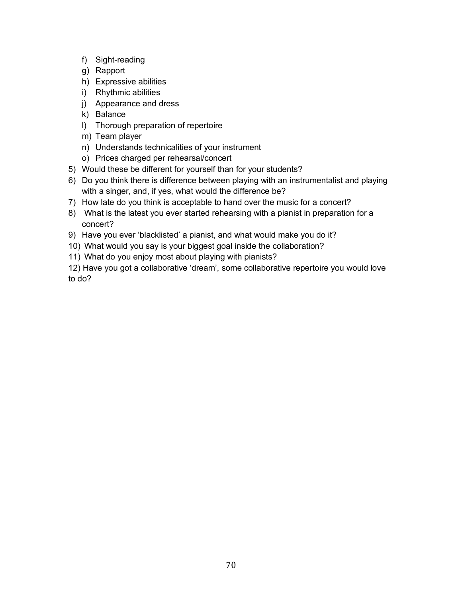- f) Sight-reading
- g) Rapport
- h) Expressive abilities
- i) Rhythmic abilities
- j) Appearance and dress
- k) Balance
- l) Thorough preparation of repertoire
- m) Team player
- n) Understands technicalities of your instrument
- o) Prices charged per rehearsal/concert
- 5) Would these be different for yourself than for your students?
- 6) Do you think there is difference between playing with an instrumentalist and playing with a singer, and, if yes, what would the difference be?
- 7) How late do you think is acceptable to hand over the music for a concert?
- 8) What is the latest you ever started rehearsing with a pianist in preparation for a concert?
- 9) Have you ever 'blacklisted' a pianist, and what would make you do it?
- 10) What would you say is your biggest goal inside the collaboration?
- 11) What do you enjoy most about playing with pianists?

12) Have you got a collaborative 'dream', some collaborative repertoire you would love to do?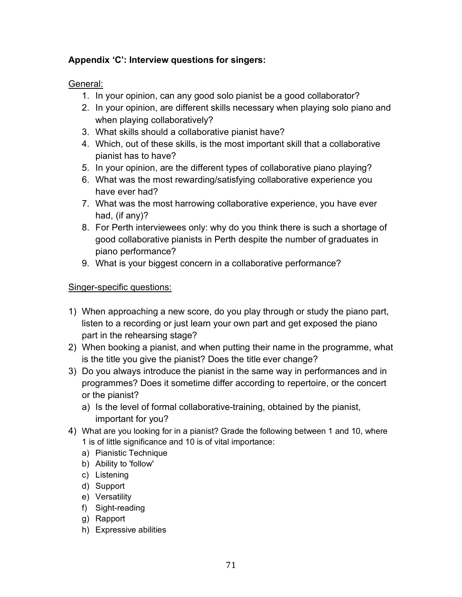# **Appendix 'C': Interview questions for singers:**

General:

- 1. In your opinion, can any good solo pianist be a good collaborator?
- 2. In your opinion, are different skills necessary when playing solo piano and when playing collaboratively?
- 3. What skills should a collaborative pianist have?
- 4. Which, out of these skills, is the most important skill that a collaborative pianist has to have?
- 5. In your opinion, are the different types of collaborative piano playing?
- 6. What was the most rewarding/satisfying collaborative experience you have ever had?
- 7. What was the most harrowing collaborative experience, you have ever had, (if any)?
- 8. For Perth interviewees only: why do you think there is such a shortage of good collaborative pianists in Perth despite the number of graduates in piano performance?
- 9. What is your biggest concern in a collaborative performance?

## Singer-specific questions:

- 1) When approaching a new score, do you play through or study the piano part, listen to a recording or just learn your own part and get exposed the piano part in the rehearsing stage?
- 2) When booking a pianist, and when putting their name in the programme, what is the title you give the pianist? Does the title ever change?
- 3) Do you always introduce the pianist in the same way in performances and in programmes? Does it sometime differ according to repertoire, or the concert or the pianist?
	- a) Is the level of formal collaborative-training, obtained by the pianist, important for you?
- 4) What are you looking for in a pianist? Grade the following between 1 and 10, where 1 is of little significance and 10 is of vital importance:
	- a) Pianistic Technique
	- b) Ability to 'follow'
	- c) Listening
	- d) Support
	- e) Versatility
	- f) Sight-reading
	- g) Rapport
	- h) Expressive abilities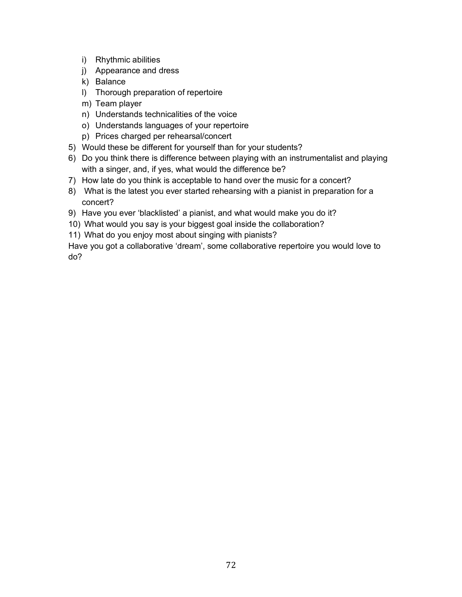- i) Rhythmic abilities
- j) Appearance and dress
- k) Balance
- l) Thorough preparation of repertoire
- m) Team player
- n) Understands technicalities of the voice
- o) Understands languages of your repertoire
- p) Prices charged per rehearsal/concert
- 5) Would these be different for yourself than for your students?
- 6) Do you think there is difference between playing with an instrumentalist and playing with a singer, and, if yes, what would the difference be?
- 7) How late do you think is acceptable to hand over the music for a concert?
- 8) What is the latest you ever started rehearsing with a pianist in preparation for a concert?
- 9) Have you ever 'blacklisted' a pianist, and what would make you do it?
- 10) What would you say is your biggest goal inside the collaboration?
- 11) What do you enjoy most about singing with pianists?

Have you got a collaborative 'dream', some collaborative repertoire you would love to do?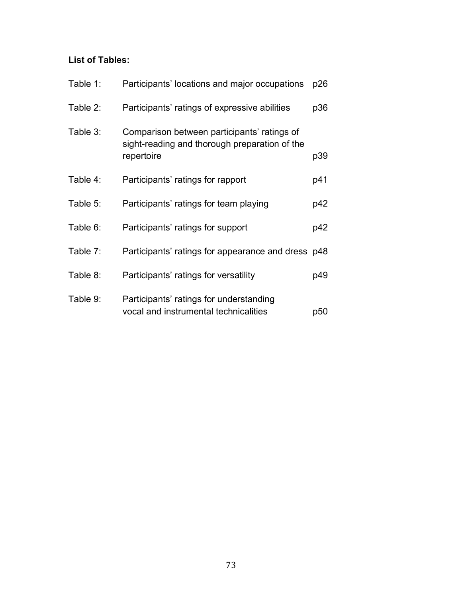## **List of Tables:**

| Table 1: | Participants' locations and major occupations                                                              | p26 |
|----------|------------------------------------------------------------------------------------------------------------|-----|
| Table 2: | Participants' ratings of expressive abilities                                                              | p36 |
| Table 3: | Comparison between participants' ratings of<br>sight-reading and thorough preparation of the<br>repertoire | p39 |
| Table 4: | Participants' ratings for rapport                                                                          | p41 |
| Table 5: | Participants' ratings for team playing                                                                     | p42 |
| Table 6: | Participants' ratings for support                                                                          | p42 |
| Table 7: | Participants' ratings for appearance and dress p48                                                         |     |
| Table 8: | Participants' ratings for versatility                                                                      | p49 |
| Table 9: | Participants' ratings for understanding<br>vocal and instrumental technicalities                           | p50 |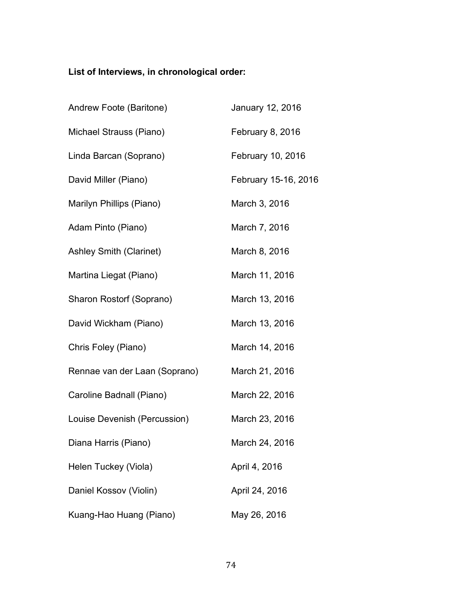## **List of Interviews, in chronological order:**

| Andrew Foote (Baritone)        | January 12, 2016     |
|--------------------------------|----------------------|
| Michael Strauss (Piano)        | February 8, 2016     |
| Linda Barcan (Soprano)         | February 10, 2016    |
| David Miller (Piano)           | February 15-16, 2016 |
| Marilyn Phillips (Piano)       | March 3, 2016        |
| Adam Pinto (Piano)             | March 7, 2016        |
| <b>Ashley Smith (Clarinet)</b> | March 8, 2016        |
| Martina Liegat (Piano)         | March 11, 2016       |
| Sharon Rostorf (Soprano)       | March 13, 2016       |
| David Wickham (Piano)          | March 13, 2016       |
| Chris Foley (Piano)            | March 14, 2016       |
| Rennae van der Laan (Soprano)  | March 21, 2016       |
| Caroline Badnall (Piano)       | March 22, 2016       |
| Louise Devenish (Percussion)   | March 23, 2016       |
| Diana Harris (Piano)           | March 24, 2016       |
| Helen Tuckey (Viola)           | April 4, 2016        |
| Daniel Kossov (Violin)         | April 24, 2016       |
| Kuang-Hao Huang (Piano)        | May 26, 2016         |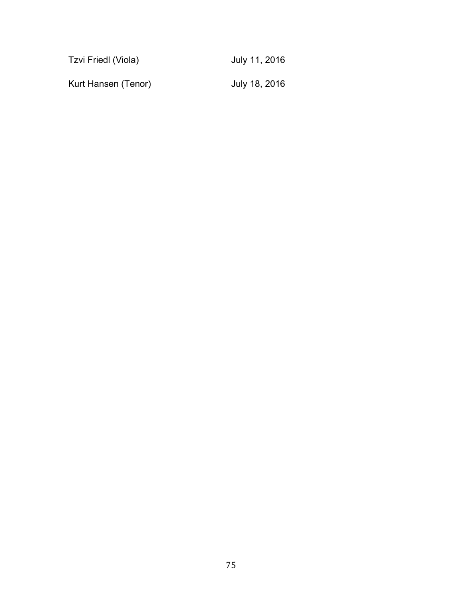| Tzvi Friedl (Viola) | July 11, 2016 |
|---------------------|---------------|
| Kurt Hansen (Tenor) | July 18, 2016 |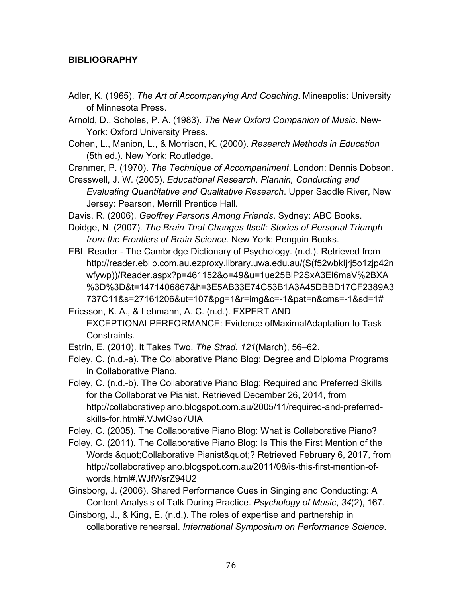## **BIBLIOGRAPHY**

Adler, K. (1965). *The Art of Accompanying And Coaching*. Mineapolis: University of Minnesota Press.

Arnold, D., Scholes, P. A. (1983). *The New Oxford Companion of Music*. New-York: Oxford University Press.

Cohen, L., Manion, L., & Morrison, K. (2000). *Research Methods in Education* (5th ed.). New York: Routledge.

Cranmer, P. (1970). *The Technique of Accompaniment*. London: Dennis Dobson.

Cresswell, J. W. (2005). *Educational Research, Plannin, Conducting and Evaluating Quantitative and Qualitative Research*. Upper Saddle River, New Jersey: Pearson, Merrill Prentice Hall.

Davis, R. (2006). *Geoffrey Parsons Among Friends*. Sydney: ABC Books.

Doidge, N. (2007). *The Brain That Changes Itself: Stories of Personal Triumph from the Frontiers of Brain Science*. New York: Penguin Books.

EBL Reader - The Cambridge Dictionary of Psychology. (n.d.). Retrieved from http://reader.eblib.com.au.ezproxy.library.uwa.edu.au/(S(f52wbkljrj5o1zjp42n wfywp))/Reader.aspx?p=461152&o=49&u=1ue25BlP2SxA3El6maV%2BXA %3D%3D&t=1471406867&h=3E5AB33E74C53B1A3A45DBBD17CF2389A3 737C11&s=27161206&ut=107&pg=1&r=img&c=-1&pat=n&cms=-1&sd=1#

Ericsson, K. A., & Lehmann, A. C. (n.d.). EXPERT AND EXCEPTIONALPERFORMANCE: Evidence ofMaximalAdaptation to Task Constraints.

Estrin, E. (2010). It Takes Two. *The Strad*, *121*(March), 56–62.

Foley, C. (n.d.-a). The Collaborative Piano Blog: Degree and Diploma Programs in Collaborative Piano.

Foley, C. (n.d.-b). The Collaborative Piano Blog: Required and Preferred Skills for the Collaborative Pianist. Retrieved December 26, 2014, from http://collaborativepiano.blogspot.com.au/2005/11/required-and-preferredskills-for.html#.VJwlGso7UIA

Foley, C. (2005). The Collaborative Piano Blog: What is Collaborative Piano?

Foley, C. (2011). The Collaborative Piano Blog: Is This the First Mention of the Words " Collaborative Pianist"? Retrieved February 6, 2017, from http://collaborativepiano.blogspot.com.au/2011/08/is-this-first-mention-ofwords.html#.WJfWsrZ94U2

Ginsborg, J. (2006). Shared Performance Cues in Singing and Conducting: A Content Analysis of Talk During Practice. *Psychology of Music*, *34*(2), 167.

Ginsborg, J., & King, E. (n.d.). The roles of expertise and partnership in collaborative rehearsal. *International Symposium on Performance Science*.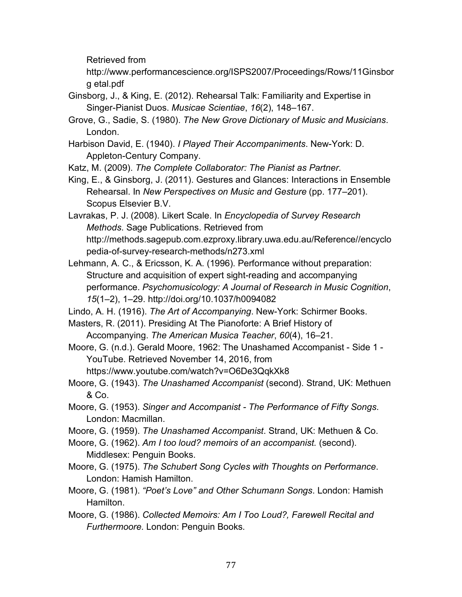Retrieved from

http://www.performancescience.org/ISPS2007/Proceedings/Rows/11Ginsbor g etal.pdf

- Ginsborg, J., & King, E. (2012). Rehearsal Talk: Familiarity and Expertise in Singer-Pianist Duos. *Musicae Scientiae*, *16*(2), 148–167.
- Grove, G., Sadie, S. (1980). *The New Grove Dictionary of Music and Musicians*. London.
- Harbison David, E. (1940). *I Played Their Accompaniments*. New-York: D. Appleton-Century Company.

Katz, M. (2009). *The Complete Collaborator: The Pianist as Partner*.

King, E., & Ginsborg, J. (2011). Gestures and Glances: Interactions in Ensemble Rehearsal. In *New Perspectives on Music and Gesture* (pp. 177–201). Scopus Elsevier B.V.

Lavrakas, P. J. (2008). Likert Scale. In *Encyclopedia of Survey Research Methods*. Sage Publications. Retrieved from http://methods.sagepub.com.ezproxy.library.uwa.edu.au/Reference//encyclo pedia-of-survey-research-methods/n273.xml

- Lehmann, A. C., & Ericsson, K. A. (1996). Performance without preparation: Structure and acquisition of expert sight-reading and accompanying performance. *Psychomusicology: A Journal of Research in Music Cognition*, *15*(1–2), 1–29. http://doi.org/10.1037/h0094082
- Lindo, A. H. (1916). *The Art of Accompanying*. New-York: Schirmer Books.
- Masters, R. (2011). Presiding At The Pianoforte: A Brief History of Accompanying. *The American Musica Teacher*, *60*(4), 16–21.
- Moore, G. (n.d.). Gerald Moore, 1962: The Unashamed Accompanist Side 1 YouTube. Retrieved November 14, 2016, from
	- https://www.youtube.com/watch?v=O6De3QqkXk8
- Moore, G. (1943). *The Unashamed Accompanist* (second). Strand, UK: Methuen & Co.
- Moore, G. (1953). *Singer and Accompanist - The Performance of Fifty Songs*. London: Macmillan.
- Moore, G. (1959). *The Unashamed Accompanist*. Strand, UK: Methuen & Co.
- Moore, G. (1962). *Am I too loud? memoirs of an accompanist.* (second). Middlesex: Penguin Books.
- Moore, G. (1975). *The Schubert Song Cycles with Thoughts on Performance*. London: Hamish Hamilton.
- Moore, G. (1981). *"Poet's Love" and Other Schumann Songs*. London: Hamish Hamilton.
- Moore, G. (1986). *Collected Memoirs: Am I Too Loud?, Farewell Recital and Furthermoore.* London: Penguin Books.